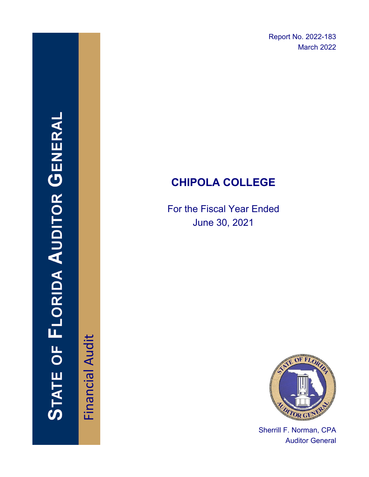Report No. 2022-183 March 2022

# **CHIPOLA COLLEGE**

For the Fiscal Year Ended June 30, 2021



Sherrill F. Norman, CPA Auditor General

Financial Audit Financial Audit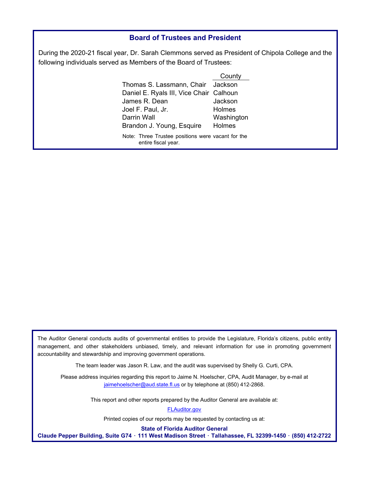#### **Board of Trustees and President**

During the 2020-21 fiscal year, Dr. Sarah Clemmons served as President of Chipola College and the following individuals served as Members of the Board of Trustees:

> County Thomas S. Lassmann, Chair Jackson Daniel E. Ryals III, Vice Chair Calhoun James R. Dean Jackson Joel F. Paul, Jr. **Holmes** Darrin Wall Washington Brandon J. Young, Esquire Holmes Note: Three Trustee positions were vacant for the entire fiscal year.

The Auditor General conducts audits of governmental entities to provide the Legislature, Florida's citizens, public entity management, and other stakeholders unbiased, timely, and relevant information for use in promoting government accountability and stewardship and improving government operations.

The team leader was Jason R. Law, and the audit was supervised by Shelly G. Curti, CPA.

Please address inquiries regarding this report to Jaime N. Hoelscher, CPA, Audit Manager, by e-mail at jaimehoelscher@aud.state.fl.us or by telephone at (850) 412-2868.

This report and other reports prepared by the Auditor General are available at:

[FLAuditor.gov](http://flauditor.gov/) 

Printed copies of our reports may be requested by contacting us at:

**State of Florida Auditor General** 

**Claude Pepper Building, Suite G74** ∙ **111 West Madison Street** ∙ **Tallahassee, FL 32399-1450** ∙ **(850) 412-2722**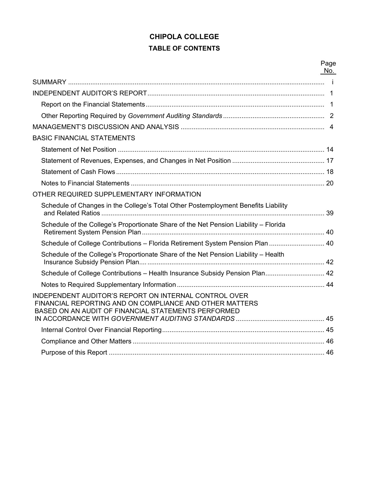## **CHIPOLA COLLEGE TABLE OF CONTENTS**

|                                                                                                                                                                         | Page<br>No. |
|-------------------------------------------------------------------------------------------------------------------------------------------------------------------------|-------------|
|                                                                                                                                                                         |             |
|                                                                                                                                                                         |             |
|                                                                                                                                                                         |             |
|                                                                                                                                                                         |             |
|                                                                                                                                                                         |             |
| <b>BASIC FINANCIAL STATEMENTS</b>                                                                                                                                       |             |
|                                                                                                                                                                         |             |
|                                                                                                                                                                         |             |
|                                                                                                                                                                         |             |
|                                                                                                                                                                         |             |
| OTHER REQUIRED SUPPLEMENTARY INFORMATION                                                                                                                                |             |
| Schedule of Changes in the College's Total Other Postemployment Benefits Liability                                                                                      |             |
| Schedule of the College's Proportionate Share of the Net Pension Liability - Florida                                                                                    |             |
| Schedule of College Contributions - Florida Retirement System Pension Plan  40                                                                                          |             |
| Schedule of the College's Proportionate Share of the Net Pension Liability - Health                                                                                     |             |
| Schedule of College Contributions - Health Insurance Subsidy Pension Plan 42                                                                                            |             |
|                                                                                                                                                                         |             |
| INDEPENDENT AUDITOR'S REPORT ON INTERNAL CONTROL OVER<br>FINANCIAL REPORTING AND ON COMPLIANCE AND OTHER MATTERS<br>BASED ON AN AUDIT OF FINANCIAL STATEMENTS PERFORMED |             |
|                                                                                                                                                                         |             |
|                                                                                                                                                                         |             |
|                                                                                                                                                                         |             |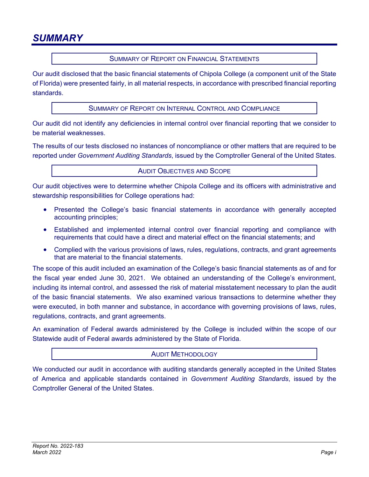#### SUMMARY OF REPORT ON FINANCIAL STATEMENTS

<span id="page-3-0"></span>Our audit disclosed that the basic financial statements of Chipola College (a component unit of the State of Florida) were presented fairly, in all material respects, in accordance with prescribed financial reporting standards.

SUMMARY OF REPORT ON INTERNAL CONTROL AND COMPLIANCE

Our audit did not identify any deficiencies in internal control over financial reporting that we consider to be material weaknesses.

The results of our tests disclosed no instances of noncompliance or other matters that are required to be reported under *Government Auditing Standards*, issued by the Comptroller General of the United States.

#### AUDIT OBJECTIVES AND SCOPE

Our audit objectives were to determine whether Chipola College and its officers with administrative and stewardship responsibilities for College operations had:

- Presented the College's basic financial statements in accordance with generally accepted accounting principles;
- Established and implemented internal control over financial reporting and compliance with requirements that could have a direct and material effect on the financial statements; and
- Complied with the various provisions of laws, rules, regulations, contracts, and grant agreements that are material to the financial statements.

The scope of this audit included an examination of the College's basic financial statements as of and for the fiscal year ended June 30, 2021. We obtained an understanding of the College's environment, including its internal control, and assessed the risk of material misstatement necessary to plan the audit of the basic financial statements. We also examined various transactions to determine whether they were executed, in both manner and substance, in accordance with governing provisions of laws, rules, regulations, contracts, and grant agreements.

An examination of Federal awards administered by the College is included within the scope of our Statewide audit of Federal awards administered by the State of Florida.

#### AUDIT METHODOLOGY

We conducted our audit in accordance with auditing standards generally accepted in the United States of America and applicable standards contained in *Government Auditing Standards*, issued by the Comptroller General of the United States.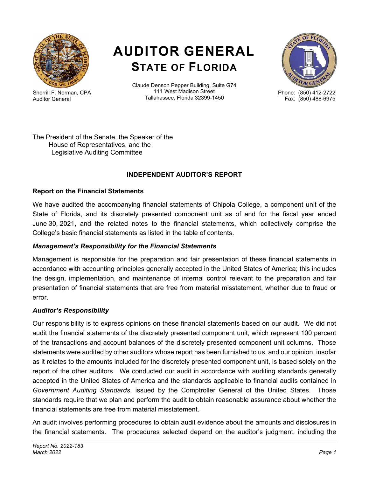<span id="page-4-0"></span>

Sherrill F. Norman, CPA Auditor General

# **AUDITOR GENERAL STATE OF FLORIDA**

Claude Denson Pepper Building, Suite G74 111 West Madison Street Tallahassee, Florida 32399-1450



Phone: (850) 412-2722 Fax: (850) 488-6975

The President of the Senate, the Speaker of the House of Representatives, and the Legislative Auditing Committee

## **INDEPENDENT AUDITOR'S REPORT**

## **Report on the Financial Statements**

We have audited the accompanying financial statements of Chipola College, a component unit of the State of Florida, and its discretely presented component unit as of and for the fiscal year ended June 30, 2021, and the related notes to the financial statements, which collectively comprise the College's basic financial statements as listed in the table of contents.

#### *Management's Responsibility for the Financial Statements*

Management is responsible for the preparation and fair presentation of these financial statements in accordance with accounting principles generally accepted in the United States of America; this includes the design, implementation, and maintenance of internal control relevant to the preparation and fair presentation of financial statements that are free from material misstatement, whether due to fraud or error.

## *Auditor's Responsibility*

Our responsibility is to express opinions on these financial statements based on our audit. We did not audit the financial statements of the discretely presented component unit, which represent 100 percent of the transactions and account balances of the discretely presented component unit columns. Those statements were audited by other auditors whose report has been furnished to us, and our opinion, insofar as it relates to the amounts included for the discretely presented component unit, is based solely on the report of the other auditors. We conducted our audit in accordance with auditing standards generally accepted in the United States of America and the standards applicable to financial audits contained in *Government Auditing Standards*, issued by the Comptroller General of the United States. Those standards require that we plan and perform the audit to obtain reasonable assurance about whether the financial statements are free from material misstatement.

An audit involves performing procedures to obtain audit evidence about the amounts and disclosures in the financial statements. The procedures selected depend on the auditor's judgment, including the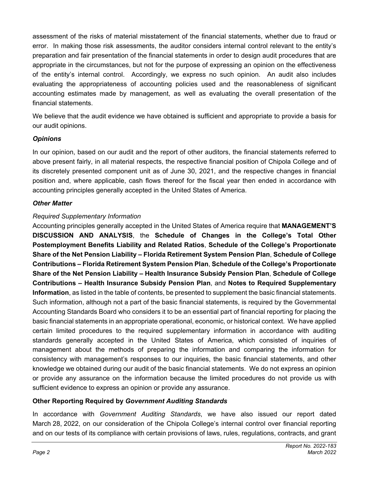<span id="page-5-0"></span>assessment of the risks of material misstatement of the financial statements, whether due to fraud or error. In making those risk assessments, the auditor considers internal control relevant to the entity's preparation and fair presentation of the financial statements in order to design audit procedures that are appropriate in the circumstances, but not for the purpose of expressing an opinion on the effectiveness of the entity's internal control. Accordingly, we express no such opinion. An audit also includes evaluating the appropriateness of accounting policies used and the reasonableness of significant accounting estimates made by management, as well as evaluating the overall presentation of the financial statements.

We believe that the audit evidence we have obtained is sufficient and appropriate to provide a basis for our audit opinions.

#### *Opinions*

In our opinion, based on our audit and the report of other auditors, the financial statements referred to above present fairly, in all material respects, the respective financial position of Chipola College and of its discretely presented component unit as of June 30, 2021, and the respective changes in financial position and, where applicable, cash flows thereof for the fiscal year then ended in accordance with accounting principles generally accepted in the United States of America.

#### *Other Matter*

## *Required Supplementary Information*

Accounting principles generally accepted in the United States of America require that **MANAGEMENT'S DISCUSSION AND ANALYSIS**, the **Schedule of Changes in the College's Total Other Postemployment Benefits Liability and Related Ratios**, **Schedule of the College's Proportionate Share of the Net Pension Liability – Florida Retirement System Pension Plan**, **Schedule of College Contributions – Florida Retirement System Pension Plan**, **Schedule of the College's Proportionate Share of the Net Pension Liability – Health Insurance Subsidy Pension Plan**, **Schedule of College Contributions – Health Insurance Subsidy Pension Plan**, and **Notes to Required Supplementary Information**, as listed in the table of contents, be presented to supplement the basic financial statements. Such information, although not a part of the basic financial statements, is required by the Governmental Accounting Standards Board who considers it to be an essential part of financial reporting for placing the basic financial statements in an appropriate operational, economic, or historical context. We have applied certain limited procedures to the required supplementary information in accordance with auditing standards generally accepted in the United States of America, which consisted of inquiries of management about the methods of preparing the information and comparing the information for consistency with management's responses to our inquiries, the basic financial statements, and other knowledge we obtained during our audit of the basic financial statements. We do not express an opinion or provide any assurance on the information because the limited procedures do not provide us with sufficient evidence to express an opinion or provide any assurance.

#### **Other Reporting Required by** *Government Auditing Standards*

In accordance with *Government Auditing Standards*, we have also issued our report dated March 28, 2022, on our consideration of the Chipola College's internal control over financial reporting and on our tests of its compliance with certain provisions of laws, rules, regulations, contracts, and grant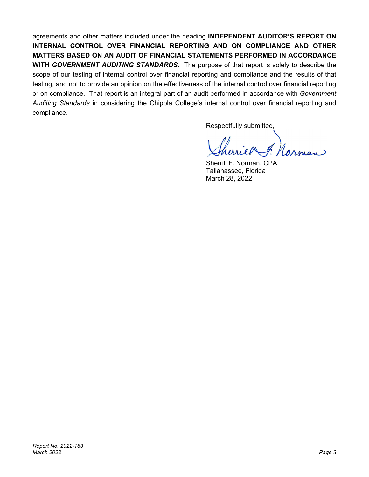agreements and other matters included under the heading **INDEPENDENT AUDITOR'S REPORT ON INTERNAL CONTROL OVER FINANCIAL REPORTING AND ON COMPLIANCE AND OTHER MATTERS BASED ON AN AUDIT OF FINANCIAL STATEMENTS PERFORMED IN ACCORDANCE WITH** *GOVERNMENT AUDITING STANDARDS*. The purpose of that report is solely to describe the scope of our testing of internal control over financial reporting and compliance and the results of that testing, and not to provide an opinion on the effectiveness of the internal control over financial reporting or on compliance. That report is an integral part of an audit performed in accordance with *Government Auditing Standards* in considering the Chipola College's internal control over financial reporting and compliance.

Respectfully submitted,

Sherrill F. Norman, CPA Tallahassee, Florida March 28, 2022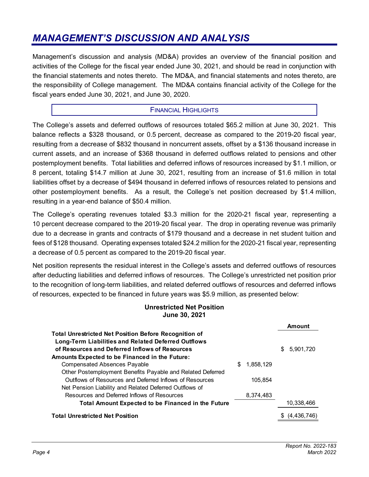## <span id="page-7-0"></span>*MANAGEMENT'S DISCUSSION AND ANALYSIS*

Management's discussion and analysis (MD&A) provides an overview of the financial position and activities of the College for the fiscal year ended June 30, 2021, and should be read in conjunction with the financial statements and notes thereto. The MD&A, and financial statements and notes thereto, are the responsibility of College management. The MD&A contains financial activity of the College for the fiscal years ended June 30, 2021, and June 30, 2020.

#### FINANCIAL HIGHLIGHTS

The College's assets and deferred outflows of resources totaled \$65.2 million at June 30, 2021. This balance reflects a \$328 thousand, or 0.5 percent, decrease as compared to the 2019-20 fiscal year, resulting from a decrease of \$832 thousand in noncurrent assets, offset by a \$136 thousand increase in current assets, and an increase of \$368 thousand in deferred outflows related to pensions and other postemployment benefits. Total liabilities and deferred inflows of resources increased by \$1.1 million, or 8 percent, totaling \$14.7 million at June 30, 2021, resulting from an increase of \$1.6 million in total liabilities offset by a decrease of \$494 thousand in deferred inflows of resources related to pensions and other postemployment benefits. As a result, the College's net position decreased by \$1.4 million, resulting in a year-end balance of \$50.4 million.

The College's operating revenues totaled \$3.3 million for the 2020-21 fiscal year, representing a 10 percent decrease compared to the 2019-20 fiscal year. The drop in operating revenue was primarily due to a decrease in grants and contracts of \$179 thousand and a decrease in net student tuition and fees of \$128 thousand. Operating expenses totaled \$24.2 million for the 2020-21 fiscal year, representing a decrease of 0.5 percent as compared to the 2019-20 fiscal year.

Net position represents the residual interest in the College's assets and deferred outflows of resources after deducting liabilities and deferred inflows of resources. The College's unrestricted net position prior to the recognition of long-term liabilities, and related deferred outflows of resources and deferred inflows of resources, expected to be financed in future years was \$5.9 million, as presented below:

**Unrestricted Net Position** 

| June 30, 2021                                              |                 |    |             |
|------------------------------------------------------------|-----------------|----|-------------|
|                                                            |                 |    | Amount      |
| Total Unrestricted Net Position Before Recognition of      |                 |    |             |
| Long-Term Liabilities and Related Deferred Outflows        |                 |    |             |
| of Resources and Deferred Inflows of Resources             |                 | \$ | 5,901,720   |
| Amounts Expected to be Financed in the Future:             |                 |    |             |
| <b>Compensated Absences Payable</b>                        | \$<br>1,858,129 |    |             |
| Other Postemployment Benefits Payable and Related Deferred |                 |    |             |
| Outflows of Resources and Deferred Inflows of Resources    | 105.854         |    |             |
| Net Pension Liability and Related Deferred Outflows of     |                 |    |             |
| Resources and Deferred Inflows of Resources                | 8,374,483       |    |             |
| <b>Total Amount Expected to be Financed in the Future</b>  |                 |    | 10,338,466  |
| Total Unrestricted Net Position                            |                 | æ. | (4,436,746) |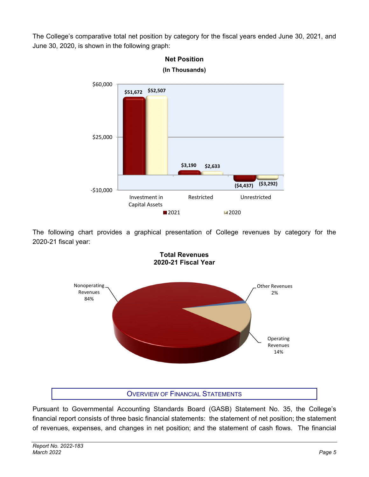The College's comparative total net position by category for the fiscal years ended June 30, 2021, and June 30, 2020, is shown in the following graph:



**Net Position (In Thousands)** 

The following chart provides a graphical presentation of College revenues by category for the 2020-21 fiscal year:

**Total Revenues** 



OVERVIEW OF FINANCIAL STATEMENTS

Pursuant to Governmental Accounting Standards Board (GASB) Statement No. 35, the College's financial report consists of three basic financial statements: the statement of net position; the statement of revenues, expenses, and changes in net position; and the statement of cash flows. The financial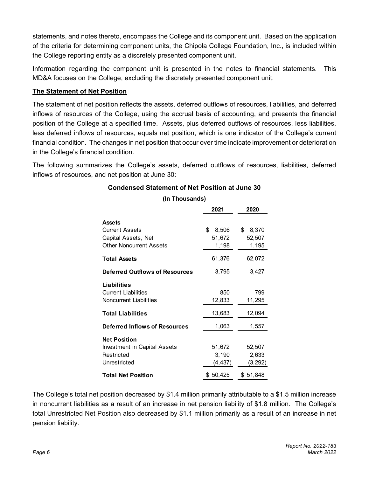statements, and notes thereto, encompass the College and its component unit. Based on the application of the criteria for determining component units, the Chipola College Foundation, Inc., is included within the College reporting entity as a discretely presented component unit.

Information regarding the component unit is presented in the notes to financial statements. This MD&A focuses on the College, excluding the discretely presented component unit.

### **The Statement of Net Position**

The statement of net position reflects the assets, deferred outflows of resources, liabilities, and deferred inflows of resources of the College, using the accrual basis of accounting, and presents the financial position of the College at a specified time. Assets, plus deferred outflows of resources, less liabilities, less deferred inflows of resources, equals net position, which is one indicator of the College's current financial condition. The changes in net position that occur over time indicate improvement or deterioration in the College's financial condition.

The following summarizes the College's assets, deferred outflows of resources, liabilities, deferred inflows of resources, and net position at June 30:

#### **Condensed Statement of Net Position at June 30**

|                                       | 2021        | 2020        |
|---------------------------------------|-------------|-------------|
| <b>Assets</b>                         |             |             |
| <b>Current Assets</b>                 | \$<br>8,506 | \$<br>8,370 |
| Capital Assets, Net                   | 51,672      | 52,507      |
| <b>Other Noncurrent Assets</b>        | 1,198       | 1,195       |
| <b>Total Assets</b>                   | 61,376      | 62,072      |
| <b>Deferred Outflows of Resources</b> | 3,795       | 3,427       |
| Liabilities                           |             |             |
| <b>Current Liabilities</b>            | 850         | 799         |
| <b>Noncurrent Liabilities</b>         | 12,833      | 11,295      |
| <b>Total Liabilities</b>              | 13,683      | 12,094      |
| Deferred Inflows of Resources         | 1,063       | 1,557       |
| <b>Net Position</b>                   |             |             |
| Investment in Capital Assets          | 51,672      | 52,507      |
| Restricted                            | 3,190       | 2,633       |
| Unrestricted                          | (4, 437)    | (3, 292)    |
| <b>Total Net Position</b>             | \$50,425    | \$ 51,848   |

#### **(In Thousands)**

The College's total net position decreased by \$1.4 million primarily attributable to a \$1.5 million increase in noncurrent liabilities as a result of an increase in net pension liability of \$1.8 million. The College's total Unrestricted Net Position also decreased by \$1.1 million primarily as a result of an increase in net pension liability.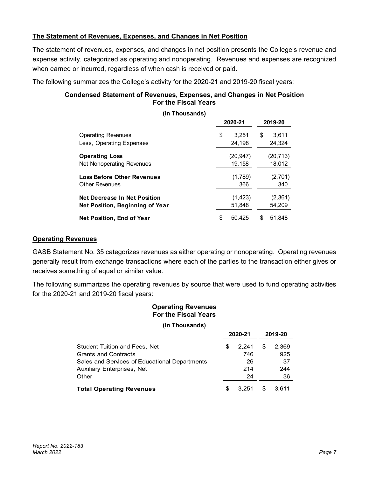## **The Statement of Revenues, Expenses, and Changes in Net Position**

The statement of revenues, expenses, and changes in net position presents the College's revenue and expense activity, categorized as operating and nonoperating. Revenues and expenses are recognized when earned or incurred, regardless of when cash is received or paid.

The following summarizes the College's activity for the 2020-21 and 2019-20 fiscal years:

## **Condensed Statement of Revenues, Expenses, and Changes in Net Position For the Fiscal Years**

| (In Thousands)                                                         |         |                     |         |                     |
|------------------------------------------------------------------------|---------|---------------------|---------|---------------------|
|                                                                        | 2020-21 |                     | 2019-20 |                     |
| <b>Operating Revenues</b><br>Less, Operating Expenses                  | \$      | 3,251<br>24,198     | S       | 3.611<br>24.324     |
| <b>Operating Loss</b><br>Net Nonoperating Revenues                     |         | (20, 947)<br>19,158 |         | (20, 713)<br>18,012 |
| <b>Loss Before Other Revenues</b><br><b>Other Revenues</b>             |         | (1,789)<br>366      |         | (2,701)<br>340      |
| <b>Net Decrease In Net Position</b><br>Net Position, Beginning of Year |         | (1, 423)<br>51,848  |         | (2, 361)<br>54,209  |
| <b>Net Position, End of Year</b>                                       | \$      | 50,425              | \$      | 51,848              |

#### **Operating Revenues**

GASB Statement No. 35 categorizes revenues as either operating or nonoperating. Operating revenues generally result from exchange transactions where each of the parties to the transaction either gives or receives something of equal or similar value.

The following summarizes the operating revenues by source that were used to fund operating activities for the 2020-21 and 2019-20 fiscal years:

#### **Operating Revenues For the Fiscal Years**

#### **(In Thousands)**

|                                               | 2020-21 |       | 2019-20 |       |
|-----------------------------------------------|---------|-------|---------|-------|
| Student Tuition and Fees, Net                 | S       | 2.241 | \$      | 2,369 |
| <b>Grants and Contracts</b>                   |         | 746   |         | 925   |
| Sales and Services of Educational Departments |         | 26    |         | -37   |
| Auxiliary Enterprises, Net                    |         | 214   |         | 244   |
| Other                                         |         | 24    |         | 36    |
| Total Operating Revenues                      | S       | 3.251 | \$      | 3.611 |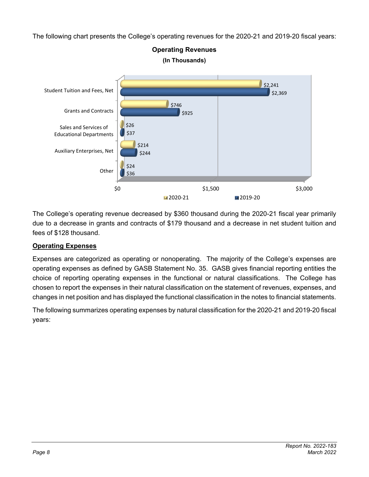The following chart presents the College's operating revenues for the 2020-21 and 2019-20 fiscal years:



The College's operating revenue decreased by \$360 thousand during the 2020-21 fiscal year primarily due to a decrease in grants and contracts of \$179 thousand and a decrease in net student tuition and fees of \$128 thousand.

## **Operating Expenses**

Expenses are categorized as operating or nonoperating. The majority of the College's expenses are operating expenses as defined by GASB Statement No. 35. GASB gives financial reporting entities the choice of reporting operating expenses in the functional or natural classifications. The College has chosen to report the expenses in their natural classification on the statement of revenues, expenses, and changes in net position and has displayed the functional classification in the notes to financial statements.

The following summarizes operating expenses by natural classification for the 2020-21 and 2019-20 fiscal years: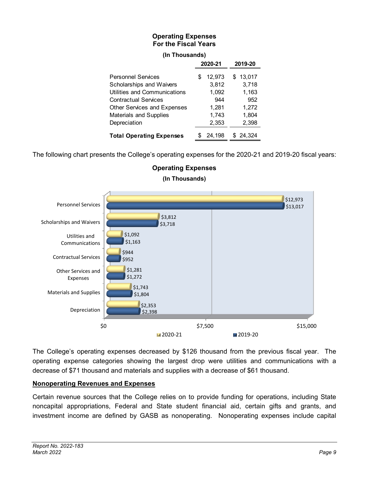#### **Operating Expenses For the Fiscal Years**

#### **(In Thousands)**

|                                                                                                                                                                                             | 2020-21 |                                                   |                                                     |  | 2019-20 |
|---------------------------------------------------------------------------------------------------------------------------------------------------------------------------------------------|---------|---------------------------------------------------|-----------------------------------------------------|--|---------|
| <b>Personnel Services</b><br>Scholarships and Waivers<br>Utilities and Communications<br><b>Contractual Services</b><br><b>Other Services and Expenses</b><br><b>Materials and Supplies</b> | \$      | 12.973<br>3,812<br>1,092<br>944<br>1,281<br>1,743 | \$13,017<br>3,718<br>1,163<br>952<br>1,272<br>1,804 |  |         |
| Depreciation                                                                                                                                                                                |         | 2,353                                             | 2,398                                               |  |         |
| <b>Total Operating Expenses</b>                                                                                                                                                             |         | 24,198                                            | \$24,324                                            |  |         |

The following chart presents the College's operating expenses for the 2020-21 and 2019-20 fiscal years:



#### **Operating Expenses (In Thousands)**

The College's operating expenses decreased by \$126 thousand from the previous fiscal year. The operating expense categories showing the largest drop were utilities and communications with a decrease of \$71 thousand and materials and supplies with a decrease of \$61 thousand.

#### **Nonoperating Revenues and Expenses**

Certain revenue sources that the College relies on to provide funding for operations, including State noncapital appropriations, Federal and State student financial aid, certain gifts and grants, and investment income are defined by GASB as nonoperating. Nonoperating expenses include capital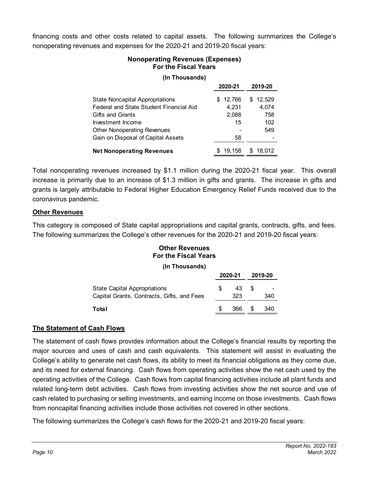financing costs and other costs related to capital assets. The following summarizes the College's nonoperating revenues and expenses for the 2020-21 and 2019-20 fiscal years:

### **Nonoperating Revenues (Expenses) For the Fiscal Years**

#### **(In Thousands)**

|                                                                                   | 2020-21           | 2019-20               |
|-----------------------------------------------------------------------------------|-------------------|-----------------------|
| <b>State Noncapital Appropriations</b><br>Federal and State Student Financial Aid | \$12,766<br>4.231 | 12,529<br>\$<br>4,074 |
| Gifts and Grants                                                                  | 2,088             | 758                   |
| Investment Income                                                                 | 15                | 102                   |
| <b>Other Nonoperating Revenues</b>                                                |                   | 549                   |
| Gain on Disposal of Capital Assets                                                | 58                |                       |
| <b>Net Nonoperating Revenues</b>                                                  | 19.158<br>SS.     | 18.012<br>\$          |

Total nonoperating revenues increased by \$1.1 million during the 2020-21 fiscal year. This overall increase is primarily due to an increase of \$1.3 million in gifts and grants. The increase in gifts and grants is largely attributable to Federal Higher Education Emergency Relief Funds received due to the coronavirus pandemic.

#### **Other Revenues**

This category is composed of State capital appropriations and capital grants, contracts, gifts, and fees. The following summarizes the College's other revenues for the 2020-21 and 2019-20 fiscal years:

## **Other Revenues For the Fiscal Years**

#### **(In Thousands)**

|                                                                                   | 2020-21 |           | 2019-20 |     |  |
|-----------------------------------------------------------------------------------|---------|-----------|---------|-----|--|
| <b>State Capital Appropriations</b><br>Capital Grants, Contracts, Gifts, and Fees |         | 43<br>323 | £.      | 340 |  |
| Total                                                                             |         | 366       |         | 340 |  |

#### **The Statement of Cash Flows**

The statement of cash flows provides information about the College's financial results by reporting the major sources and uses of cash and cash equivalents. This statement will assist in evaluating the College's ability to generate net cash flows, its ability to meet its financial obligations as they come due, and its need for external financing. Cash flows from operating activities show the net cash used by the operating activities of the College. Cash flows from capital financing activities include all plant funds and related long-term debt activities. Cash flows from investing activities show the net source and use of cash related to purchasing or selling investments, and earning income on those investments. Cash flows from noncapital financing activities include those activities not covered in other sections.

The following summarizes the College's cash flows for the 2020-21 and 2019-20 fiscal years: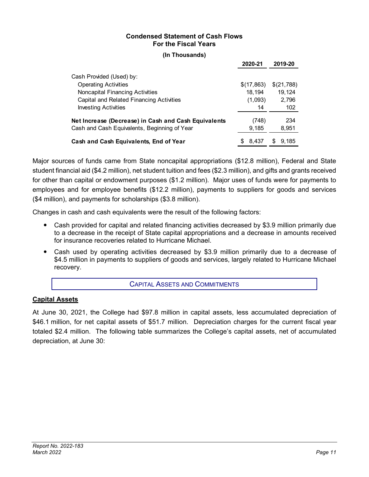#### **Condensed Statement of Cash Flows For the Fiscal Years**

#### **(In Thousands)**

**2020-21 2019-20**

|                                                      | ZUZU-Z I     | 2013-20    |
|------------------------------------------------------|--------------|------------|
| Cash Provided (Used) by:                             |              |            |
| <b>Operating Activities</b>                          | \$(17,863)   | \$(21,788) |
| <b>Noncapital Financing Activities</b>               | 18.194       | 19,124     |
| Capital and Related Financing Activities             | (1,093)      | 2,796      |
| <b>Investing Activities</b>                          | 14           | 102        |
| Net Increase (Decrease) in Cash and Cash Equivalents | (748)        | 234        |
| Cash and Cash Equivalents, Beginning of Year         | 9,185        | 8,951      |
| Cash and Cash Equivalents, End of Year               | 8.437<br>\$. | 9.185<br>S |

Major sources of funds came from State noncapital appropriations (\$12.8 million), Federal and State student financial aid (\$4.2 million), net student tuition and fees (\$2.3 million), and gifts and grants received for other than capital or endowment purposes (\$1.2 million). Major uses of funds were for payments to employees and for employee benefits (\$12.2 million), payments to suppliers for goods and services (\$4 million), and payments for scholarships (\$3.8 million).

Changes in cash and cash equivalents were the result of the following factors:

- Cash provided for capital and related financing activities decreased by \$3.9 million primarily due to a decrease in the receipt of State capital appropriations and a decrease in amounts received for insurance recoveries related to Hurricane Michael.
- Cash used by operating activities decreased by \$3.9 million primarily due to a decrease of \$4.5 million in payments to suppliers of goods and services, largely related to Hurricane Michael recovery.

#### CAPITAL ASSETS AND COMMITMENTS

#### **Capital Assets**

At June 30, 2021, the College had \$97.8 million in capital assets, less accumulated depreciation of \$46.1 million, for net capital assets of \$51.7 million. Depreciation charges for the current fiscal year totaled \$2.4 million. The following table summarizes the College's capital assets, net of accumulated depreciation, at June 30: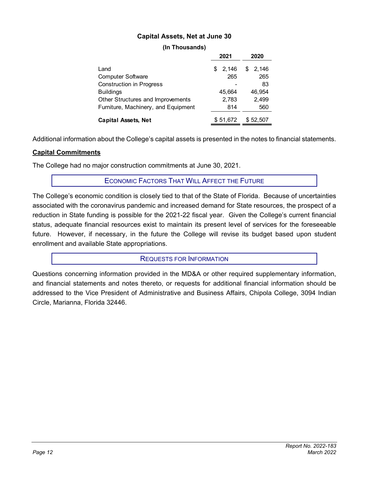## **Capital Assets, Net at June 30**

|                                     | 2021     | 2020     |
|-------------------------------------|----------|----------|
| Land                                | \$2,146  | \$2,146  |
| Computer Software                   | 265      | 265      |
| <b>Construction in Progress</b>     |          | 83       |
| <b>Buildings</b>                    | 45,664   | 46,954   |
| Other Structures and Improvements   | 2,783    | 2,499    |
| Furniture, Machinery, and Equipment | 814      | 560      |
| <b>Capital Assets, Net</b>          | \$51,672 | \$52,507 |

#### **(In Thousands)**

Additional information about the College's capital assets is presented in the notes to financial statements.

#### **Capital Commitments**

The College had no major construction commitments at June 30, 2021.

ECONOMIC FACTORS THAT WILL AFFECT THE FUTURE

The College's economic condition is closely tied to that of the State of Florida. Because of uncertainties associated with the coronavirus pandemic and increased demand for State resources, the prospect of a reduction in State funding is possible for the 2021-22 fiscal year. Given the College's current financial status, adequate financial resources exist to maintain its present level of services for the foreseeable future. However, if necessary, in the future the College will revise its budget based upon student enrollment and available State appropriations.

#### REQUESTS FOR INFORMATION

Questions concerning information provided in the MD&A or other required supplementary information, and financial statements and notes thereto, or requests for additional financial information should be addressed to the Vice President of Administrative and Business Affairs, Chipola College, 3094 Indian Circle, Marianna, Florida 32446.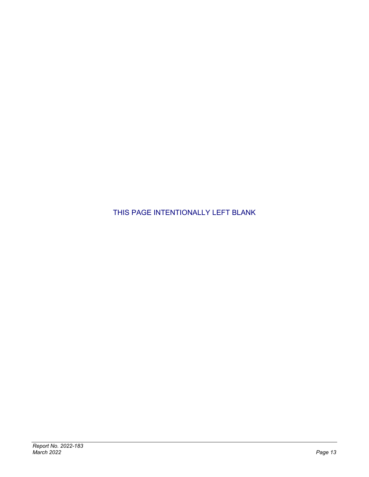THIS PAGE INTENTIONALLY LEFT BLANK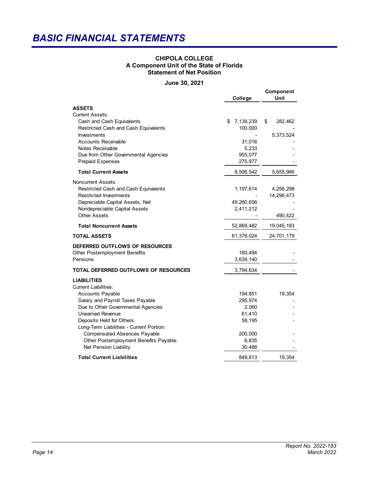## <span id="page-17-0"></span>*BASIC FINANCIAL STATEMENTS*

#### **CHIPOLA COLLEGE A Component Unit of the State of Florida Statement of Net Position**

#### **June 30, 2021**

|                                                             | College            | Component<br>Unit |
|-------------------------------------------------------------|--------------------|-------------------|
| <b>ASSETS</b>                                               |                    |                   |
| <b>Current Assets:</b>                                      |                    |                   |
| Cash and Cash Equivalents                                   | 7,139,239<br>S     | \$<br>282,462     |
| Restricted Cash and Cash Equivalents                        | 100,000            |                   |
| Investments                                                 |                    | 5,373,524         |
| <b>Accounts Receivable</b>                                  | 31,016             |                   |
| Notes Receivable                                            | 5,233              |                   |
| Due from Other Governmental Agencies                        | 955,077            |                   |
| <b>Prepaid Expenses</b>                                     | 275,977            |                   |
| <b>Total Current Assets</b>                                 | 8,506,542          | 5,655,986         |
| <b>Noncurrent Assets:</b>                                   |                    |                   |
| Restricted Cash and Cash Equivalents                        | 1,197,614          | 4,258,298         |
| <b>Restricted Investments</b>                               |                    | 14,296,473        |
| Depreciable Capital Assets, Net                             | 49,260,656         |                   |
| Nondepreciable Capital Assets                               | 2,411,212          |                   |
| <b>Other Assets</b>                                         |                    | 490,422           |
| <b>Total Noncurrent Assets</b>                              | 52,869,482         | 19,045,193        |
| <b>TOTAL ASSETS</b>                                         | 61,376,024         | 24,701,179        |
| DEFERRED OUTFLOWS OF RESOURCES                              |                    |                   |
| <b>Other Postemployment Benefits</b>                        | 160,494            |                   |
| Pensions                                                    | 3,634,140          |                   |
| TOTAL DEFERRED OUTFLOWS OF RESOURCES                        | 3,794,634          |                   |
| <b>LIABILITIES</b>                                          |                    |                   |
| <b>Current Liabilities:</b>                                 |                    |                   |
| <b>Accounts Payable</b><br>Salary and Payroll Taxes Payable | 194,851<br>295,974 | 19,354            |
| Due to Other Governmental Agencies                          | 2,060              |                   |
| Unearned Revenue                                            | 61,410             |                   |
| Deposits Held for Others                                    | 58,195             |                   |
| Long-Term Liabilities - Current Portion:                    |                    |                   |
| <b>Compensated Absences Payable</b>                         | 200,000            |                   |
| Other Postemployment Benefits Payable                       | 6,835              |                   |
| Net Pension Liability                                       | 30,488             |                   |
| <b>Total Current Liabilities</b>                            | 849,813            | 19,354            |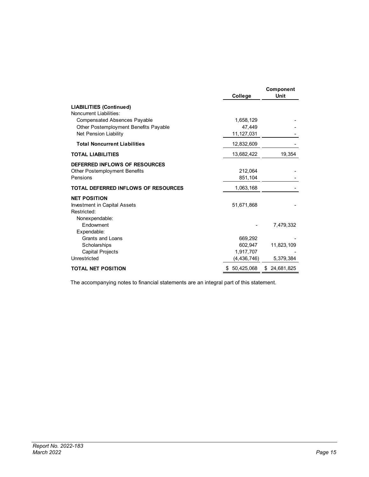|                                                                                                       | College                                        | Component<br>Unit       |
|-------------------------------------------------------------------------------------------------------|------------------------------------------------|-------------------------|
| <b>LIABILITIES (Continued)</b><br>Noncurrent Liabilities:                                             |                                                |                         |
| <b>Compensated Absences Payable</b><br>Other Postemployment Benefits Payable<br>Net Pension Liability | 1,658,129<br>47,449<br>11, 127, 031            |                         |
| <b>Total Noncurrent Liabilities</b>                                                                   | 12,832,609                                     |                         |
| <b>TOTAL LIABILITIES</b>                                                                              | 13,682,422                                     | 19,354                  |
| DEFERRED INFLOWS OF RESOURCES<br><b>Other Postemployment Benefits</b><br>Pensions                     | 212,064<br>851,104                             |                         |
| TOTAL DEFERRED INFLOWS OF RESOURCES                                                                   | 1,063,168                                      |                         |
| <b>NET POSITION</b><br>Investment in Capital Assets<br>Restricted:<br>Nonexpendable:                  | 51,671,868                                     |                         |
| Endowment                                                                                             |                                                | 7,479,332               |
| Expendable:<br>Grants and Loans<br>Scholarships<br><b>Capital Projects</b><br>Unrestricted            | 669,292<br>602,947<br>1,917,707<br>(4,436,746) | 11,823,109<br>5,379,384 |
| <b>TOTAL NET POSITION</b>                                                                             | 50,425,068<br>\$                               | \$24,681,825            |

The accompanying notes to financial statements are an integral part of this statement.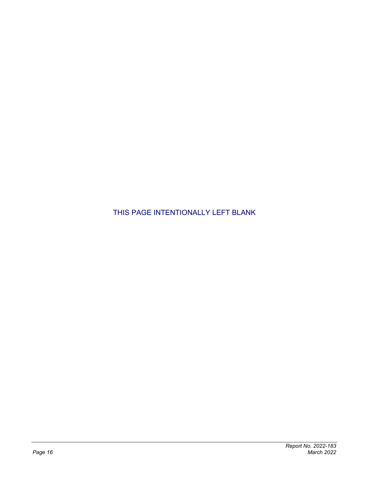THIS PAGE INTENTIONALLY LEFT BLANK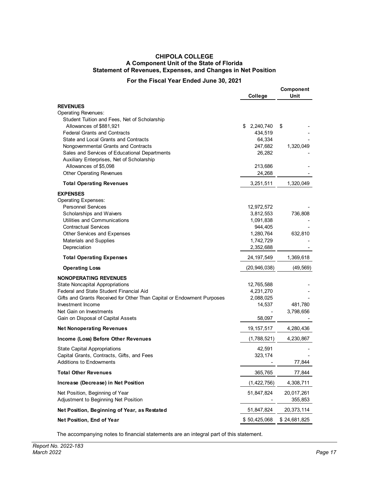#### **CHIPOLA COLLEGE A Component Unit of the State of Florida Statement of Revenues, Expenses, and Changes in Net Position**

#### **For the Fiscal Year Ended June 30, 2021**

<span id="page-20-0"></span>

|                                                                        |                | Component    |
|------------------------------------------------------------------------|----------------|--------------|
|                                                                        | College        | Unit         |
| <b>REVENUES</b>                                                        |                |              |
| <b>Operating Revenues:</b>                                             |                |              |
| Student Tuition and Fees, Net of Scholarship                           |                |              |
| Allowances of \$881.921                                                | \$2,240,740    | \$           |
| <b>Federal Grants and Contracts</b>                                    | 434,519        |              |
| State and Local Grants and Contracts                                   | 64,334         |              |
| Nongovernmental Grants and Contracts                                   | 247,682        | 1,320,049    |
| Sales and Services of Educational Departments                          | 26,282         |              |
| Auxiliary Enterprises, Net of Scholarship                              |                |              |
| Allowances of \$5,098                                                  | 213,686        |              |
| <b>Other Operating Revenues</b>                                        | 24,268         |              |
| <b>Total Operating Revenues</b>                                        | 3,251,511      | 1,320,049    |
| <b>EXPENSES</b>                                                        |                |              |
| <b>Operating Expenses:</b>                                             |                |              |
| <b>Personnel Services</b>                                              | 12,972,572     |              |
| Scholarships and Waivers                                               | 3,812,553      | 736,808      |
| Utilities and Communications                                           | 1,091,838      |              |
| <b>Contractual Services</b>                                            | 944,405        |              |
| <b>Other Services and Expenses</b>                                     | 1,280,764      | 632,810      |
| <b>Materials and Supplies</b>                                          | 1,742,729      |              |
| Depreciation                                                           | 2,352,688      |              |
| <b>Total Operating Expenses</b>                                        | 24, 197, 549   | 1,369,618    |
| <b>Operating Loss</b>                                                  | (20, 946, 038) | (49, 569)    |
| <b>NONOPERATING REVENUES</b>                                           |                |              |
| <b>State Noncapital Appropriations</b>                                 | 12,765,588     |              |
| Federal and State Student Financial Aid                                | 4,231,270      |              |
| Gifts and Grants Received for Other Than Capital or Endowment Purposes | 2,088,025      |              |
| Investment Income                                                      | 14,537         | 481,780      |
| Net Gain on Investments                                                |                | 3,798,656    |
| Gain on Disposal of Capital Assets                                     | 58,097         |              |
| <b>Net Nonoperating Revenues</b>                                       | 19, 157, 517   | 4,280,436    |
| Income (Loss) Before Other Revenues                                    | (1,788,521)    | 4,230,867    |
| <b>State Capital Appropriations</b>                                    | 42,591         |              |
| Capital Grants, Contracts, Gifts, and Fees                             | 323,174        |              |
| <b>Additions to Endowments</b>                                         |                | 77,844       |
| <b>Total Other Revenues</b>                                            | 365,765        | 77,844       |
| Increase (Decrease) in Net Position                                    | (1,422,756)    | 4,308,711    |
| Net Position, Beginning of Year                                        | 51,847,824     | 20,017,261   |
| Adjustment to Beginning Net Position                                   |                | 355,853      |
| Net Position, Beginning of Year, as Restated                           | 51,847,824     | 20,373,114   |
| Net Position, End of Year                                              | \$50,425,068   | \$24,681,825 |

The accompanying notes to financial statements are an integral part of this statement.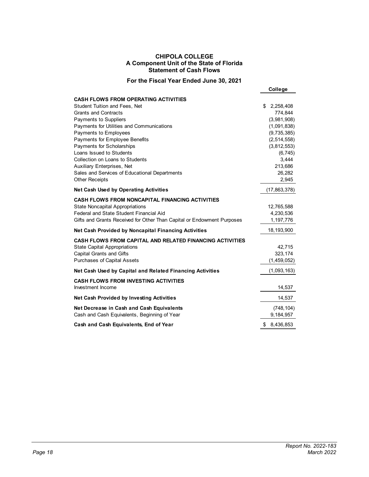#### **CHIPOLA COLLEGE A Component Unit of the State of Florida Statement of Cash Flows**

#### **For the Fiscal Year Ended June 30, 2021**

<span id="page-21-0"></span>

|                                                                                                                                                                                                                                                                                                                                                                                      | College                                                                                                                                   |
|--------------------------------------------------------------------------------------------------------------------------------------------------------------------------------------------------------------------------------------------------------------------------------------------------------------------------------------------------------------------------------------|-------------------------------------------------------------------------------------------------------------------------------------------|
| <b>CASH FLOWS FROM OPERATING ACTIVITIES</b><br><b>Student Tuition and Fees, Net</b><br><b>Grants and Contracts</b><br>Payments to Suppliers<br>Payments for Utilities and Communications<br>Payments to Employees<br>Payments for Employee Benefits<br>Payments for Scholarships<br>Loans Issued to Students<br>Collection on Loans to Students<br><b>Auxiliary Enterprises, Net</b> | \$<br>2,258,408<br>774,844<br>(3,981,908)<br>(1,091,838)<br>(9, 735, 385)<br>(2, 514, 558)<br>(3,812,553)<br>(6, 745)<br>3,444<br>213,686 |
| Sales and Services of Educational Departments<br><b>Other Receipts</b>                                                                                                                                                                                                                                                                                                               | 26,282<br>2,945                                                                                                                           |
| <b>Net Cash Used by Operating Activities</b>                                                                                                                                                                                                                                                                                                                                         | (17, 863, 378)                                                                                                                            |
| CASH FLOWS FROM NONCAPITAL FINANCING ACTIVITIES<br><b>State Noncapital Appropriations</b><br>Federal and State Student Financial Aid<br>Gifts and Grants Received for Other Than Capital or Endowment Purposes                                                                                                                                                                       | 12,765,588<br>4,230,536<br>1,197,776                                                                                                      |
| Net Cash Provided by Noncapital Financing Activities                                                                                                                                                                                                                                                                                                                                 | 18, 193, 900                                                                                                                              |
| <b>CASH FLOWS FROM CAPITAL AND RELATED FINANCING ACTIVITIES</b><br><b>State Capital Appropriations</b><br><b>Capital Grants and Gifts</b><br>Purchases of Capital Assets                                                                                                                                                                                                             | 42,715<br>323,174<br>(1,459,052)                                                                                                          |
| Net Cash Used by Capital and Related Financing Activities                                                                                                                                                                                                                                                                                                                            | (1,093,163)                                                                                                                               |
| <b>CASH FLOWS FROM INVESTING ACTIVITIES</b><br>Investment Income                                                                                                                                                                                                                                                                                                                     | 14,537                                                                                                                                    |
| <b>Net Cash Provided by Investing Activities</b>                                                                                                                                                                                                                                                                                                                                     | 14,537                                                                                                                                    |
| Net Decrease in Cash and Cash Equivalents<br>Cash and Cash Equivalents, Beginning of Year                                                                                                                                                                                                                                                                                            | (748, 104)<br>9,184,957                                                                                                                   |
| Cash and Cash Equivalents, End of Year                                                                                                                                                                                                                                                                                                                                               | \$8,436,853                                                                                                                               |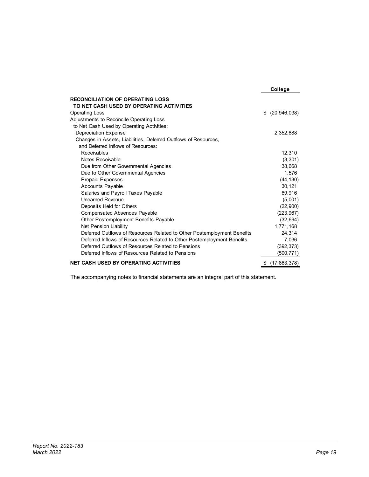|                                                                         | College            |
|-------------------------------------------------------------------------|--------------------|
| <b>RECONCILIATION OF OPERATING LOSS</b>                                 |                    |
| TO NET CASH USED BY OPERATING ACTIVITIES                                |                    |
| <b>Operating Loss</b>                                                   | (20, 946, 038)     |
| Adjustments to Reconcile Operating Loss                                 |                    |
| to Net Cash Used by Operating Activities:                               |                    |
| <b>Depreciation Expense</b>                                             | 2,352,688          |
| Changes in Assets, Liabilities, Deferred Outflows of Resources,         |                    |
| and Deferred Inflows of Resources:                                      |                    |
| Receivables                                                             | 12,310             |
| Notes Receivable                                                        | (3,301)            |
| Due from Other Governmental Agencies                                    | 38,668             |
| Due to Other Governmental Agencies                                      | 1,576              |
| <b>Prepaid Expenses</b>                                                 | (44, 130)          |
| <b>Accounts Payable</b>                                                 | 30,121             |
| Salaries and Payroll Taxes Payable                                      | 69,916             |
| Unearned Revenue                                                        | (5,001)            |
| Deposits Held for Others                                                | (22,900)           |
| <b>Compensated Absences Payable</b>                                     | (223, 967)         |
| Other Postemployment Benefits Payable                                   | (32, 694)          |
| <b>Net Pension Liability</b>                                            | 1,771,168          |
| Deferred Outflows of Resources Related to Other Postemployment Benefits | 24,314             |
| Deferred Inflows of Resources Related to Other Postemployment Benefits  | 7,036              |
| Deferred Outflows of Resources Related to Pensions                      | (392, 373)         |
| Deferred Inflows of Resources Related to Pensions                       | (500, 771)         |
| NET CASH USED BY OPERATING ACTIVITIES                                   | \$<br>(17,863,378) |

The accompanying notes to financial statements are an integral part of this statement.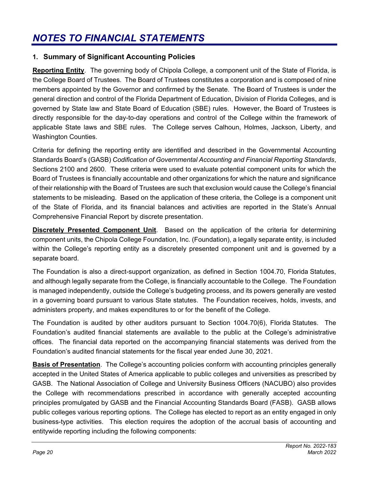## <span id="page-23-0"></span>*NOTES TO FINANCIAL STATEMENTS*

## **1. Summary of Significant Accounting Policies**

**Reporting Entity**. The governing body of Chipola College, a component unit of the State of Florida, is the College Board of Trustees. The Board of Trustees constitutes a corporation and is composed of nine members appointed by the Governor and confirmed by the Senate. The Board of Trustees is under the general direction and control of the Florida Department of Education, Division of Florida Colleges, and is governed by State law and State Board of Education (SBE) rules. However, the Board of Trustees is directly responsible for the day-to-day operations and control of the College within the framework of applicable State laws and SBE rules. The College serves Calhoun, Holmes, Jackson, Liberty, and Washington Counties.

Criteria for defining the reporting entity are identified and described in the Governmental Accounting Standards Board's (GASB) *Codification of Governmental Accounting and Financial Reporting Standards*, Sections 2100 and 2600. These criteria were used to evaluate potential component units for which the Board of Trustees is financially accountable and other organizations for which the nature and significance of their relationship with the Board of Trustees are such that exclusion would cause the College's financial statements to be misleading. Based on the application of these criteria, the College is a component unit of the State of Florida, and its financial balances and activities are reported in the State's Annual Comprehensive Financial Report by discrete presentation.

**Discretely Presented Component Unit**. Based on the application of the criteria for determining component units, the Chipola College Foundation, Inc. (Foundation), a legally separate entity, is included within the College's reporting entity as a discretely presented component unit and is governed by a separate board.

The Foundation is also a direct-support organization, as defined in Section 1004.70, Florida Statutes, and although legally separate from the College, is financially accountable to the College. The Foundation is managed independently, outside the College's budgeting process, and its powers generally are vested in a governing board pursuant to various State statutes. The Foundation receives, holds, invests, and administers property, and makes expenditures to or for the benefit of the College.

The Foundation is audited by other auditors pursuant to Section 1004.70(6), Florida Statutes. The Foundation's audited financial statements are available to the public at the College's administrative offices. The financial data reported on the accompanying financial statements was derived from the Foundation's audited financial statements for the fiscal year ended June 30, 2021.

**Basis of Presentation**. The College's accounting policies conform with accounting principles generally accepted in the United States of America applicable to public colleges and universities as prescribed by GASB. The National Association of College and University Business Officers (NACUBO) also provides the College with recommendations prescribed in accordance with generally accepted accounting principles promulgated by GASB and the Financial Accounting Standards Board (FASB). GASB allows public colleges various reporting options. The College has elected to report as an entity engaged in only business-type activities. This election requires the adoption of the accrual basis of accounting and entitywide reporting including the following components: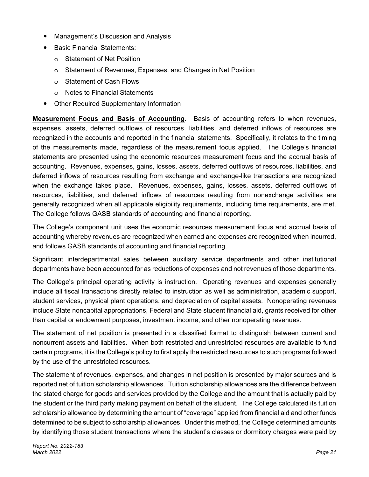- Management's Discussion and Analysis
- Basic Financial Statements:
	- o Statement of Net Position
	- o Statement of Revenues, Expenses, and Changes in Net Position
	- o Statement of Cash Flows
	- o Notes to Financial Statements
- Other Required Supplementary Information

**Measurement Focus and Basis of Accounting**. Basis of accounting refers to when revenues, expenses, assets, deferred outflows of resources, liabilities, and deferred inflows of resources are recognized in the accounts and reported in the financial statements. Specifically, it relates to the timing of the measurements made, regardless of the measurement focus applied. The College's financial statements are presented using the economic resources measurement focus and the accrual basis of accounting. Revenues, expenses, gains, losses, assets, deferred outflows of resources, liabilities, and deferred inflows of resources resulting from exchange and exchange-like transactions are recognized when the exchange takes place. Revenues, expenses, gains, losses, assets, deferred outflows of resources, liabilities, and deferred inflows of resources resulting from nonexchange activities are generally recognized when all applicable eligibility requirements, including time requirements, are met. The College follows GASB standards of accounting and financial reporting.

The College's component unit uses the economic resources measurement focus and accrual basis of accounting whereby revenues are recognized when earned and expenses are recognized when incurred, and follows GASB standards of accounting and financial reporting.

Significant interdepartmental sales between auxiliary service departments and other institutional departments have been accounted for as reductions of expenses and not revenues of those departments.

The College's principal operating activity is instruction. Operating revenues and expenses generally include all fiscal transactions directly related to instruction as well as administration, academic support, student services, physical plant operations, and depreciation of capital assets. Nonoperating revenues include State noncapital appropriations, Federal and State student financial aid, grants received for other than capital or endowment purposes, investment income, and other nonoperating revenues.

The statement of net position is presented in a classified format to distinguish between current and noncurrent assets and liabilities. When both restricted and unrestricted resources are available to fund certain programs, it is the College's policy to first apply the restricted resources to such programs followed by the use of the unrestricted resources.

The statement of revenues, expenses, and changes in net position is presented by major sources and is reported net of tuition scholarship allowances. Tuition scholarship allowances are the difference between the stated charge for goods and services provided by the College and the amount that is actually paid by the student or the third party making payment on behalf of the student. The College calculated its tuition scholarship allowance by determining the amount of "coverage" applied from financial aid and other funds determined to be subject to scholarship allowances. Under this method, the College determined amounts by identifying those student transactions where the student's classes or dormitory charges were paid by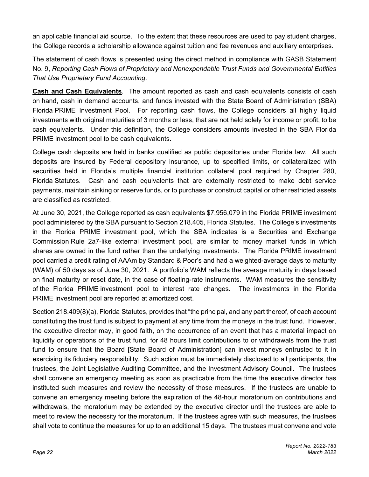an applicable financial aid source. To the extent that these resources are used to pay student charges, the College records a scholarship allowance against tuition and fee revenues and auxiliary enterprises.

The statement of cash flows is presented using the direct method in compliance with GASB Statement No. 9, *Reporting Cash Flows of Proprietary and Nonexpendable Trust Funds and Governmental Entities That Use Proprietary Fund Accounting*.

**Cash and Cash Equivalents**. The amount reported as cash and cash equivalents consists of cash on hand, cash in demand accounts, and funds invested with the State Board of Administration (SBA) Florida PRIME Investment Pool. For reporting cash flows, the College considers all highly liquid investments with original maturities of 3 months or less, that are not held solely for income or profit, to be cash equivalents. Under this definition, the College considers amounts invested in the SBA Florida PRIME investment pool to be cash equivalents.

College cash deposits are held in banks qualified as public depositories under Florida law. All such deposits are insured by Federal depository insurance, up to specified limits, or collateralized with securities held in Florida's multiple financial institution collateral pool required by Chapter 280, Florida Statutes. Cash and cash equivalents that are externally restricted to make debt service payments, maintain sinking or reserve funds, or to purchase or construct capital or other restricted assets are classified as restricted.

At June 30, 2021, the College reported as cash equivalents \$7,956,079 in the Florida PRIME investment pool administered by the SBA pursuant to Section 218.405, Florida Statutes. The College's investments in the Florida PRIME investment pool, which the SBA indicates is a Securities and Exchange Commission Rule 2a7-like external investment pool, are similar to money market funds in which shares are owned in the fund rather than the underlying investments. The Florida PRIME investment pool carried a credit rating of AAAm by Standard & Poor's and had a weighted-average days to maturity (WAM) of 50 days as of June 30, 2021. A portfolio's WAM reflects the average maturity in days based on final maturity or reset date, in the case of floating-rate instruments. WAM measures the sensitivity of the Florida PRIME investment pool to interest rate changes. The investments in the Florida PRIME investment pool are reported at amortized cost.

Section 218.409(8)(a), Florida Statutes, provides that "the principal, and any part thereof, of each account constituting the trust fund is subject to payment at any time from the moneys in the trust fund. However, the executive director may, in good faith, on the occurrence of an event that has a material impact on liquidity or operations of the trust fund, for 48 hours limit contributions to or withdrawals from the trust fund to ensure that the Board [State Board of Administration] can invest moneys entrusted to it in exercising its fiduciary responsibility. Such action must be immediately disclosed to all participants, the trustees, the Joint Legislative Auditing Committee, and the Investment Advisory Council. The trustees shall convene an emergency meeting as soon as practicable from the time the executive director has instituted such measures and review the necessity of those measures. If the trustees are unable to convene an emergency meeting before the expiration of the 48-hour moratorium on contributions and withdrawals, the moratorium may be extended by the executive director until the trustees are able to meet to review the necessity for the moratorium. If the trustees agree with such measures, the trustees shall vote to continue the measures for up to an additional 15 days. The trustees must convene and vote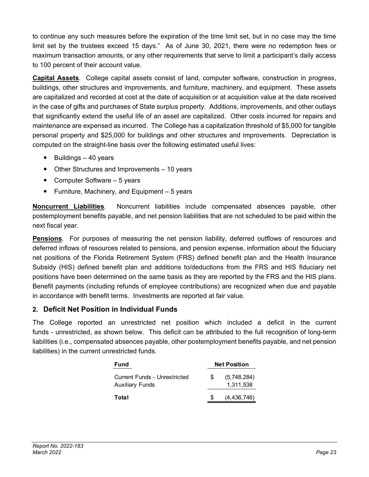to continue any such measures before the expiration of the time limit set, but in no case may the time limit set by the trustees exceed 15 days." As of June 30, 2021, there were no redemption fees or maximum transaction amounts, or any other requirements that serve to limit a participant's daily access to 100 percent of their account value.

**Capital Assets**. College capital assets consist of land, computer software, construction in progress, buildings, other structures and improvements, and furniture, machinery, and equipment. These assets are capitalized and recorded at cost at the date of acquisition or at acquisition value at the date received in the case of gifts and purchases of State surplus property. Additions, improvements, and other outlays that significantly extend the useful life of an asset are capitalized. Other costs incurred for repairs and maintenance are expensed as incurred. The College has a capitalization threshold of \$5,000 for tangible personal property and \$25,000 for buildings and other structures and improvements. Depreciation is computed on the straight-line basis over the following estimated useful lives:

- $\bullet$  Buildings  $-$  40 years
- Other Structures and Improvements 10 years
- Computer Software 5 years
- Furniture, Machinery, and Equipment  $-5$  years

**Noncurrent Liabilities**. Noncurrent liabilities include compensated absences payable, other postemployment benefits payable, and net pension liabilities that are not scheduled to be paid within the next fiscal year.

**Pensions**. For purposes of measuring the net pension liability, deferred outflows of resources and deferred inflows of resources related to pensions, and pension expense, information about the fiduciary net positions of the Florida Retirement System (FRS) defined benefit plan and the Health Insurance Subsidy (HIS) defined benefit plan and additions to/deductions from the FRS and HIS fiduciary net positions have been determined on the same basis as they are reported by the FRS and the HIS plans. Benefit payments (including refunds of employee contributions) are recognized when due and payable in accordance with benefit terms. Investments are reported at fair value.

## **2. Deficit Net Position in Individual Funds**

The College reported an unrestricted net position which included a deficit in the current funds - unrestricted, as shown below. This deficit can be attributed to the full recognition of long-term liabilities (i.e., compensated absences payable, other postemployment benefits payable, and net pension liabilities) in the current unrestricted funds.

| Fund                                                          | <b>Net Position</b> |                          |  |
|---------------------------------------------------------------|---------------------|--------------------------|--|
| <b>Current Funds - Unrestricted</b><br><b>Auxiliary Funds</b> | \$.                 | (5,748,284)<br>1,311,538 |  |
| Total                                                         | S                   | (4, 436, 746)            |  |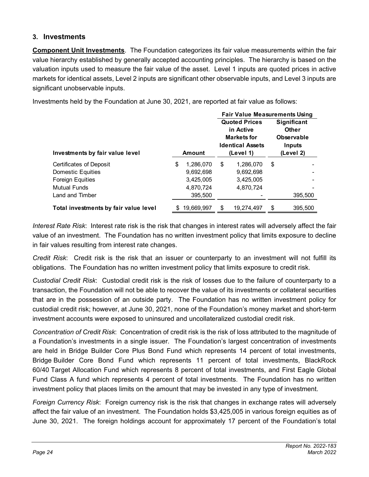### **3. Investments**

**Component Unit Investments**. The Foundation categorizes its fair value measurements within the fair value hierarchy established by generally accepted accounting principles. The hierarchy is based on the valuation inputs used to measure the fair value of the asset. Level 1 inputs are quoted prices in active markets for identical assets, Level 2 inputs are significant other observable inputs, and Level 3 inputs are significant unobservable inputs.

Investments held by the Foundation at June 30, 2021, are reported at fair value as follows:

|                                       |    |               | <b>Fair Value Measurements Using</b> |                         |    |                   |
|---------------------------------------|----|---------------|--------------------------------------|-------------------------|----|-------------------|
|                                       |    |               | <b>Quoted Prices</b>                 |                         |    | Significant       |
|                                       |    |               |                                      | in Active               |    | <b>Other</b>      |
|                                       |    |               |                                      | <b>Markets for</b>      |    | <b>Observable</b> |
|                                       |    |               |                                      | <b>Identical Assets</b> |    | Inputs            |
| Investments by fair value level       |    | <b>Amount</b> |                                      | (Level 1)               |    | (Level 2)         |
| Certificates of Deposit               | \$ | 1,286,070     | \$                                   | 1,286,070               | \$ |                   |
| <b>Domestic Equities</b>              |    | 9.692.698     |                                      | 9.692.698               |    |                   |
| <b>Foreign Equities</b>               |    | 3,425,005     |                                      | 3.425.005               |    |                   |
| <b>Mutual Funds</b>                   |    | 4,870,724     |                                      | 4,870,724               |    |                   |
| Land and Timber                       |    | 395,500       |                                      |                         |    | 395,500           |
| Total investments by fair value level | S. | 19,669,997    | S                                    | 19.274.497              | \$ | 395,500           |

*Interest Rate Risk*: Interest rate risk is the risk that changes in interest rates will adversely affect the fair value of an investment. The Foundation has no written investment policy that limits exposure to decline in fair values resulting from interest rate changes.

*Credit Risk*: Credit risk is the risk that an issuer or counterparty to an investment will not fulfill its obligations. The Foundation has no written investment policy that limits exposure to credit risk.

*Custodial Credit Risk*: Custodial credit risk is the risk of losses due to the failure of counterparty to a transaction, the Foundation will not be able to recover the value of its investments or collateral securities that are in the possession of an outside party. The Foundation has no written investment policy for custodial credit risk; however, at June 30, 2021, none of the Foundation's money market and short-term investment accounts were exposed to uninsured and uncollateralized custodial credit risk.

*Concentration of Credit Risk*: Concentration of credit risk is the risk of loss attributed to the magnitude of a Foundation's investments in a single issuer. The Foundation's largest concentration of investments are held in Bridge Builder Core Plus Bond Fund which represents 14 percent of total investments, Bridge Builder Core Bond Fund which represents 11 percent of total investments, BlackRock 60/40 Target Allocation Fund which represents 8 percent of total investments, and First Eagle Global Fund Class A fund which represents 4 percent of total investments. The Foundation has no written investment policy that places limits on the amount that may be invested in any type of investment.

*Foreign Currency Risk*: Foreign currency risk is the risk that changes in exchange rates will adversely affect the fair value of an investment. The Foundation holds \$3,425,005 in various foreign equities as of June 30, 2021. The foreign holdings account for approximately 17 percent of the Foundation's total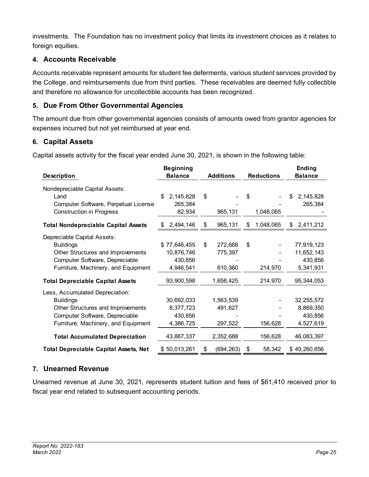investments. The Foundation has no investment policy that limits its investment choices as it relates to foreign equities.

## **4. Accounts Receivable**

Accounts receivable represent amounts for student fee deferments, various student services provided by the College, and reimbursements due from third parties. These receivables are deemed fully collectible and therefore no allowance for uncollectible accounts has been recognized.

## **5. Due From Other Governmental Agencies**

The amount due from other governmental agencies consists of amounts owed from grantor agencies for expenses incurred but not yet reimbursed at year end.

## **6. Capital Assets**

Capital assets activity for the fiscal year ended June 30, 2021, is shown in the following table:

| <b>Description</b>                           | <b>Beginning</b><br><b>Balance</b> | <b>Additions</b> | <b>Reductions</b> | <b>Ending</b><br><b>Balance</b> |
|----------------------------------------------|------------------------------------|------------------|-------------------|---------------------------------|
| Nondepreciable Capital Assets:               |                                    |                  |                   |                                 |
| Land                                         | \$<br>2,145,828                    | \$               | \$                | 2,145,828<br>\$                 |
| Computer Software, Perpetual License         | 265,384                            |                  |                   | 265,384                         |
| <b>Construction in Progress</b>              | 82,934                             | 965,131          | 1,048,065         |                                 |
| <b>Total Nondepreciable Capital Assets</b>   | 2,494,146<br>\$.                   | 965,131<br>\$    | 1,048,065<br>\$   | 2,411,212<br>\$                 |
| Depreciable Capital Assets:                  |                                    |                  |                   |                                 |
| <b>Buildings</b>                             | \$77,646,455                       | \$<br>272,668    | \$                | 77,919,123                      |
| Other Structures and Improvements            | 10,876,746                         | 775,397          |                   | 11,652,143                      |
| Computer Software, Depreciable               | 430,856                            |                  |                   | 430,856                         |
| Furniture, Machinery, and Equipment          | 4,946,541                          | 610,360          | 214,970           | 5,341,931                       |
| <b>Total Depreciable Capital Assets</b>      | 93,900,598                         | 1,658,425        | 214,970           | 95,344,053                      |
| Less, Accumulated Depreciation:              |                                    |                  |                   |                                 |
| <b>Buildings</b>                             | 30,692,033                         | 1,563,539        |                   | 32,255,572                      |
| Other Structures and Improvements            | 8,377,723                          | 491,627          |                   | 8,869,350                       |
| Computer Software, Depreciable               | 430,856                            |                  |                   | 430,856                         |
| Furniture, Machinery, and Equipment          | 4,386,725                          | 297,522          | 156,628           | 4,527,619                       |
| <b>Total Accumulated Depreciation</b>        | 43,887,337                         | 2,352,688        | 156,628           | 46,083,397                      |
| <b>Total Depreciable Capital Assets, Net</b> | \$50,013,261                       | (694, 263)<br>\$ | 58,342<br>\$      | \$49,260,656                    |

## **7. Unearned Revenue**

Unearned revenue at June 30, 2021, represents student tuition and fees of \$61,410 received prior to fiscal year end related to subsequent accounting periods.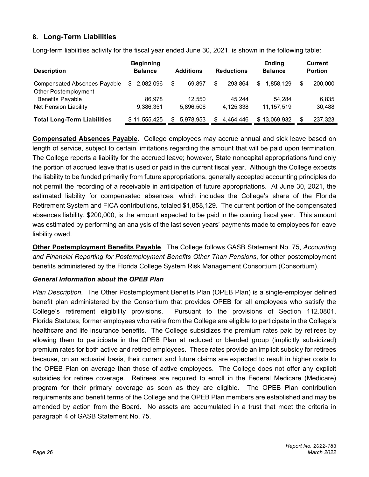## **8. Long-Term Liabilities**

| <b>Description</b>                                          | <b>Beginning</b><br><b>Balance</b> | <b>Additions</b> | <b>Reductions</b> | <b>Ending</b><br><b>Balance</b> | <b>Current</b><br><b>Portion</b> |
|-------------------------------------------------------------|------------------------------------|------------------|-------------------|---------------------------------|----------------------------------|
| <b>Compensated Absences Payable</b><br>Other Postemployment | 2.082.096                          | \$<br>69.897     | 293.864           | 1.858.129<br>S                  | \$<br>200,000                    |
| <b>Benefits Payable</b>                                     | 86.978                             | 12.550           | 45.244            | 54.284                          | 6.835                            |
| Net Pension Liability                                       | 9,386,351                          | 5,896,506        | 4.125.338         | 11, 157, 519                    | 30,488                           |
| <b>Total Long-Term Liabilities</b>                          | \$11,555,425                       | 5,978,953<br>S   | 4.464.446         | 13.069.932<br>\$.               | 237,323<br>\$                    |

Long-term liabilities activity for the fiscal year ended June 30, 2021, is shown in the following table:

**Compensated Absences Payable**. College employees may accrue annual and sick leave based on length of service, subject to certain limitations regarding the amount that will be paid upon termination. The College reports a liability for the accrued leave; however, State noncapital appropriations fund only the portion of accrued leave that is used or paid in the current fiscal year. Although the College expects the liability to be funded primarily from future appropriations, generally accepted accounting principles do not permit the recording of a receivable in anticipation of future appropriations. At June 30, 2021, the estimated liability for compensated absences, which includes the College's share of the Florida Retirement System and FICA contributions, totaled \$1,858,129. The current portion of the compensated absences liability, \$200,000, is the amount expected to be paid in the coming fiscal year. This amount was estimated by performing an analysis of the last seven years' payments made to employees for leave liability owed.

**Other Postemployment Benefits Payable**. The College follows GASB Statement No. 75, *Accounting and Financial Reporting for Postemployment Benefits Other Than Pensions*, for other postemployment benefits administered by the Florida College System Risk Management Consortium (Consortium).

#### *General Information about the OPEB Plan*

*Plan Description*. The Other Postemployment Benefits Plan (OPEB Plan) is a single-employer defined benefit plan administered by the Consortium that provides OPEB for all employees who satisfy the College's retirement eligibility provisions. Pursuant to the provisions of Section 112.0801, Florida Statutes, former employees who retire from the College are eligible to participate in the College's healthcare and life insurance benefits. The College subsidizes the premium rates paid by retirees by allowing them to participate in the OPEB Plan at reduced or blended group (implicitly subsidized) premium rates for both active and retired employees. These rates provide an implicit subsidy for retirees because, on an actuarial basis, their current and future claims are expected to result in higher costs to the OPEB Plan on average than those of active employees. The College does not offer any explicit subsidies for retiree coverage. Retirees are required to enroll in the Federal Medicare (Medicare) program for their primary coverage as soon as they are eligible. The OPEB Plan contribution requirements and benefit terms of the College and the OPEB Plan members are established and may be amended by action from the Board. No assets are accumulated in a trust that meet the criteria in paragraph 4 of GASB Statement No. 75.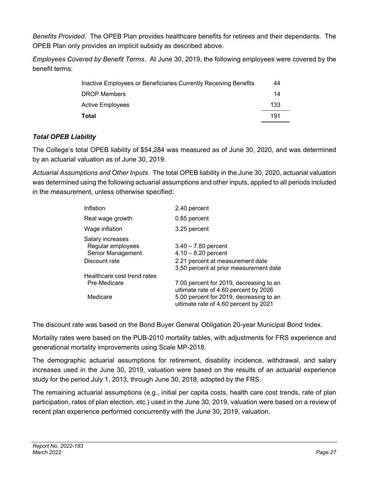*Benefits Provided*. The OPEB Plan provides healthcare benefits for retirees and their dependents. The OPEB Plan only provides an implicit subsidy as described above.

*Employees Covered by Benefit Terms*. At June 30, 2019, the following employees were covered by the benefit terms:

| Inactive Employees or Beneficiaries Currently Receiving Benefits | 44  |  |
|------------------------------------------------------------------|-----|--|
| <b>DROP Members</b>                                              | 14  |  |
| <b>Active Employees</b>                                          | 133 |  |
| Total                                                            | 191 |  |

## *Total OPEB Liability*

The College's total OPEB liability of \$54,284 was measured as of June 30, 2020, and was determined by an actuarial valuation as of June 30, 2019.

*Actuarial Assumptions and Other Inputs*. The total OPEB liability in the June 30, 2020, actuarial valuation was determined using the following actuarial assumptions and other inputs, applied to all periods included in the measurement, unless otherwise specified:

| Inflation                                                                   | 2.40 percent                                                                                                                 |
|-----------------------------------------------------------------------------|------------------------------------------------------------------------------------------------------------------------------|
| Real wage growth                                                            | 0.85 percent                                                                                                                 |
| Wage inflation                                                              | 3.25 percent                                                                                                                 |
| Salary increases<br>Regular employees<br>Senior Management<br>Discount rate | $3.40 - 7.80$ percent<br>$4.10 - 8.20$ percent<br>2.21 percent at measurement date<br>3.50 percent at prior measurement date |
| Healthcare cost trend rates                                                 |                                                                                                                              |
| Pre-Medicare                                                                | 7.00 percent for 2019, decreasing to an<br>ultimate rate of 4.60 percent by 2026                                             |
| Medicare                                                                    | 5.00 percent for 2019, decreasing to an<br>ultimate rate of 4.60 percent by 2021                                             |

The discount rate was based on the Bond Buyer General Obligation 20-year Municipal Bond Index.

Mortality rates were based on the PUB-2010 mortality tables, with adjustments for FRS experience and generational mortality improvements using Scale MP-2018.

The demographic actuarial assumptions for retirement, disability incidence, withdrawal, and salary increases used in the June 30, 2019, valuation were based on the results of an actuarial experience study for the period July 1, 2013, through June 30, 2018, adopted by the FRS.

The remaining actuarial assumptions (e.g., initial per capita costs, health care cost trends, rate of plan participation, rates of plan election, etc.) used in the June 30, 2019, valuation were based on a review of recent plan experience performed concurrently with the June 30, 2019, valuation.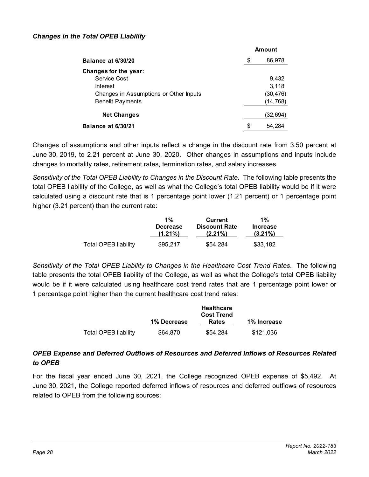#### *Changes in the Total OPEB Liability*

|                                        | <b>Amount</b> |
|----------------------------------------|---------------|
| Balance at 6/30/20                     | \$<br>86,978  |
| Changes for the year:                  |               |
| Service Cost                           | 9,432         |
| Interest                               | 3,118         |
| Changes in Assumptions or Other Inputs | (30, 476)     |
| <b>Benefit Payments</b>                | (14, 768)     |
| <b>Net Changes</b>                     | (32,694)      |
| Balance at 6/30/21                     | \$<br>54.284  |

Changes of assumptions and other inputs reflect a change in the discount rate from 3.50 percent at June 30, 2019, to 2.21 percent at June 30, 2020. Other changes in assumptions and inputs include changes to mortality rates, retirement rates, termination rates, and salary increases.

*Sensitivity of the Total OPEB Liability to Changes in the Discount Rate*. The following table presents the total OPEB liability of the College, as well as what the College's total OPEB liability would be if it were calculated using a discount rate that is 1 percentage point lower (1.21 percent) or 1 percentage point higher (3.21 percent) than the current rate:

|                      | 1%              | Current              | 1%              |
|----------------------|-----------------|----------------------|-----------------|
|                      | <b>Decrease</b> | <b>Discount Rate</b> | <b>Increase</b> |
|                      | $(1.21\%)$      | $(2.21\%)$           | $(3.21\%)$      |
| Total OPEB liability | \$95.217        | \$54.284             | \$33.182        |

*Sensitivity of the Total OPEB Liability to Changes in the Healthcare Cost Trend Rates*. The following table presents the total OPEB liability of the College, as well as what the College's total OPEB liability would be if it were calculated using healthcare cost trend rates that are 1 percentage point lower or 1 percentage point higher than the current healthcare cost trend rates:

|                      | 1% Decrease | <b>Rates</b> | 1% Increase |
|----------------------|-------------|--------------|-------------|
| Total OPEB liability | \$64,870    | \$54.284     | \$121,036   |

## *OPEB Expense and Deferred Outflows of Resources and Deferred Inflows of Resources Related to OPEB*

For the fiscal year ended June 30, 2021, the College recognized OPEB expense of \$5,492. At June 30, 2021, the College reported deferred inflows of resources and deferred outflows of resources related to OPEB from the following sources: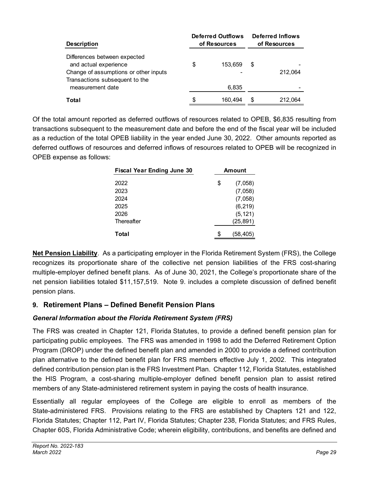| <b>Description</b>                                                                                                               | <b>Deferred Outflows</b><br>of Resources |         | Deferred Inflows<br>of Resources |         |
|----------------------------------------------------------------------------------------------------------------------------------|------------------------------------------|---------|----------------------------------|---------|
| Differences between expected<br>and actual experience<br>Change of assumptions or other inputs<br>Transactions subsequent to the | \$                                       | 153,659 | \$                               | 212.064 |
| measurement date                                                                                                                 |                                          | 6,835   |                                  |         |
| Total                                                                                                                            | S                                        | 160,494 | S                                | 212.064 |

Of the total amount reported as deferred outflows of resources related to OPEB, \$6,835 resulting from transactions subsequent to the measurement date and before the end of the fiscal year will be included as a reduction of the total OPEB liability in the year ended June 30, 2022. Other amounts reported as deferred outflows of resources and deferred inflows of resources related to OPEB will be recognized in OPEB expense as follows:

| <b>Fiscal Year Ending June 30</b> |    | <b>Amount</b> |  |
|-----------------------------------|----|---------------|--|
| 2022                              | \$ | (7,058)       |  |
| 2023                              |    | (7,058)       |  |
| 2024                              |    | (7,058)       |  |
| 2025                              |    | (6, 219)      |  |
| 2026                              |    | (5, 121)      |  |
| Thereafter                        |    | (25, 891)     |  |
| Total                             | S  | (58, 405)     |  |

**Net Pension Liability**. As a participating employer in the Florida Retirement System (FRS), the College recognizes its proportionate share of the collective net pension liabilities of the FRS cost-sharing multiple-employer defined benefit plans. As of June 30, 2021, the College's proportionate share of the net pension liabilities totaled \$11,157,519. Note 9. includes a complete discussion of defined benefit pension plans.

## **9. Retirement Plans – Defined Benefit Pension Plans**

## *General Information about the Florida Retirement System (FRS)*

The FRS was created in Chapter 121, Florida Statutes, to provide a defined benefit pension plan for participating public employees. The FRS was amended in 1998 to add the Deferred Retirement Option Program (DROP) under the defined benefit plan and amended in 2000 to provide a defined contribution plan alternative to the defined benefit plan for FRS members effective July 1, 2002. This integrated defined contribution pension plan is the FRS Investment Plan. Chapter 112, Florida Statutes, established the HIS Program, a cost-sharing multiple-employer defined benefit pension plan to assist retired members of any State-administered retirement system in paying the costs of health insurance.

Essentially all regular employees of the College are eligible to enroll as members of the State-administered FRS. Provisions relating to the FRS are established by Chapters 121 and 122, Florida Statutes; Chapter 112, Part IV, Florida Statutes; Chapter 238, Florida Statutes; and FRS Rules, Chapter 60S, Florida Administrative Code; wherein eligibility, contributions, and benefits are defined and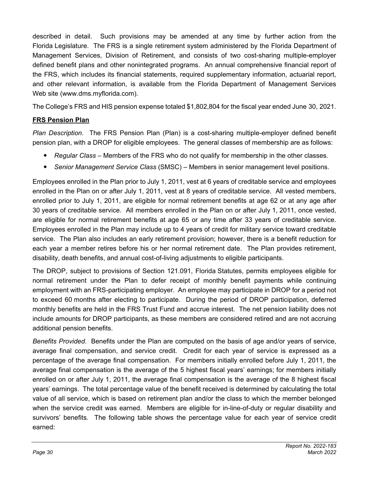described in detail. Such provisions may be amended at any time by further action from the Florida Legislature. The FRS is a single retirement system administered by the Florida Department of Management Services, Division of Retirement, and consists of two cost-sharing multiple-employer defined benefit plans and other nonintegrated programs. An annual comprehensive financial report of the FRS, which includes its financial statements, required supplementary information, actuarial report, and other relevant information, is available from the Florida Department of Management Services Web site (www.dms.myflorida.com).

The College's FRS and HIS pension expense totaled \$1,802,804 for the fiscal year ended June 30, 2021.

## **FRS Pension Plan**

*Plan Description*. The FRS Pension Plan (Plan) is a cost-sharing multiple-employer defined benefit pension plan, with a DROP for eligible employees. The general classes of membership are as follows:

- *Regular Class* Members of the FRS who do not qualify for membership in the other classes.
- *Senior Management Service Class* (SMSC) Members in senior management level positions.

Employees enrolled in the Plan prior to July 1, 2011, vest at 6 years of creditable service and employees enrolled in the Plan on or after July 1, 2011, vest at 8 years of creditable service. All vested members, enrolled prior to July 1, 2011, are eligible for normal retirement benefits at age 62 or at any age after 30 years of creditable service. All members enrolled in the Plan on or after July 1, 2011, once vested, are eligible for normal retirement benefits at age 65 or any time after 33 years of creditable service. Employees enrolled in the Plan may include up to 4 years of credit for military service toward creditable service. The Plan also includes an early retirement provision; however, there is a benefit reduction for each year a member retires before his or her normal retirement date. The Plan provides retirement, disability, death benefits, and annual cost-of-living adjustments to eligible participants.

The DROP, subject to provisions of Section 121.091, Florida Statutes, permits employees eligible for normal retirement under the Plan to defer receipt of monthly benefit payments while continuing employment with an FRS-participating employer. An employee may participate in DROP for a period not to exceed 60 months after electing to participate. During the period of DROP participation, deferred monthly benefits are held in the FRS Trust Fund and accrue interest. The net pension liability does not include amounts for DROP participants, as these members are considered retired and are not accruing additional pension benefits.

*Benefits Provided*. Benefits under the Plan are computed on the basis of age and/or years of service, average final compensation, and service credit. Credit for each year of service is expressed as a percentage of the average final compensation. For members initially enrolled before July 1, 2011, the average final compensation is the average of the 5 highest fiscal years' earnings; for members initially enrolled on or after July 1, 2011, the average final compensation is the average of the 8 highest fiscal years' earnings. The total percentage value of the benefit received is determined by calculating the total value of all service, which is based on retirement plan and/or the class to which the member belonged when the service credit was earned. Members are eligible for in-line-of-duty or regular disability and survivors' benefits. The following table shows the percentage value for each year of service credit earned: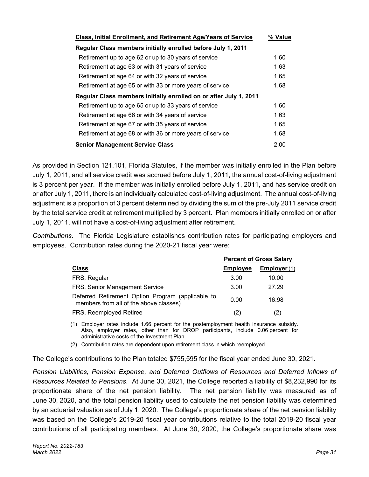| Class, Initial Enrollment, and Retirement Age/Years of Service    | % Value |
|-------------------------------------------------------------------|---------|
| Regular Class members initially enrolled before July 1, 2011      |         |
| Retirement up to age 62 or up to 30 years of service              | 1.60    |
| Retirement at age 63 or with 31 years of service                  | 1.63    |
| Retirement at age 64 or with 32 years of service                  | 1.65    |
| Retirement at age 65 or with 33 or more years of service          | 1.68    |
| Regular Class members initially enrolled on or after July 1, 2011 |         |
| Retirement up to age 65 or up to 33 years of service              | 1.60    |
| Retirement at age 66 or with 34 years of service                  | 1.63    |
| Retirement at age 67 or with 35 years of service                  | 1.65    |
| Retirement at age 68 or with 36 or more years of service          | 1.68    |
| <b>Senior Management Service Class</b>                            | 2.00    |

As provided in Section 121.101, Florida Statutes, if the member was initially enrolled in the Plan before July 1, 2011, and all service credit was accrued before July 1, 2011, the annual cost-of-living adjustment is 3 percent per year. If the member was initially enrolled before July 1, 2011, and has service credit on or after July 1, 2011, there is an individually calculated cost-of-living adjustment. The annual cost-of-living adjustment is a proportion of 3 percent determined by dividing the sum of the pre-July 2011 service credit by the total service credit at retirement multiplied by 3 percent. Plan members initially enrolled on or after July 1, 2011, will not have a cost-of-living adjustment after retirement.

*Contributions*. The Florida Legislature establishes contribution rates for participating employers and employees. Contribution rates during the 2020-21 fiscal year were:

|                                                                                             | <b>Percent of Gross Salary</b> |                |  |
|---------------------------------------------------------------------------------------------|--------------------------------|----------------|--|
| <b>Class</b>                                                                                | <b>Employee</b>                | Employer $(1)$ |  |
| FRS, Regular                                                                                | 3.00                           | 10.00          |  |
| <b>FRS, Senior Management Service</b>                                                       | 3.00                           | 27.29          |  |
| Deferred Retirement Option Program (applicable to<br>members from all of the above classes) | 0.00                           | 16.98          |  |
| FRS, Reemployed Retiree                                                                     | (2)                            | (2)            |  |

(1) Employer rates include 1.66 percent for the postemployment health insurance subsidy. Also, employer rates, other than for DROP participants, include 0.06 percent for administrative costs of the Investment Plan.

(2) Contribution rates are dependent upon retirement class in which reemployed.

The College's contributions to the Plan totaled \$755,595 for the fiscal year ended June 30, 2021.

*Pension Liabilities, Pension Expense, and Deferred Outflows of Resources and Deferred Inflows of Resources Related to Pensions*. At June 30, 2021, the College reported a liability of \$8,232,990 for its proportionate share of the net pension liability. The net pension liability was measured as of June 30, 2020, and the total pension liability used to calculate the net pension liability was determined by an actuarial valuation as of July 1, 2020. The College's proportionate share of the net pension liability was based on the College's 2019-20 fiscal year contributions relative to the total 2019-20 fiscal year contributions of all participating members. At June 30, 2020, the College's proportionate share was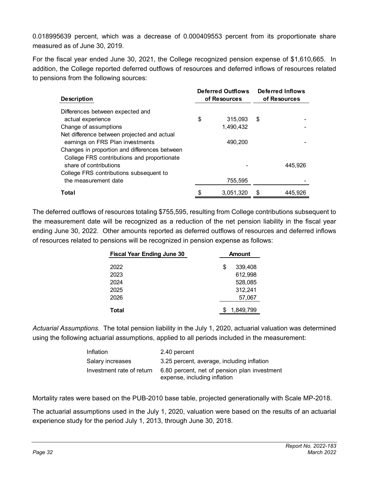0.018995639 percent, which was a decrease of 0.000409553 percent from its proportionate share measured as of June 30, 2019.

For the fiscal year ended June 30, 2021, the College recognized pension expense of \$1,610,665. In addition, the College reported deferred outflows of resources and deferred inflows of resources related to pensions from the following sources:

| <b>Description</b>                                                                                                     | <b>Deferred Outflows</b><br>of Resources |           | <b>Deferred Inflows</b><br>of Resources |         |
|------------------------------------------------------------------------------------------------------------------------|------------------------------------------|-----------|-----------------------------------------|---------|
| Differences between expected and                                                                                       |                                          |           |                                         |         |
| actual experience                                                                                                      | \$                                       | 315,093   | \$                                      |         |
| Change of assumptions                                                                                                  |                                          | 1,490,432 |                                         |         |
| Net difference between projected and actual<br>earnings on FRS Plan investments                                        |                                          | 490.200   |                                         |         |
| Changes in proportion and differences between<br>College FRS contributions and proportionate<br>share of contributions |                                          |           |                                         | 445.926 |
| College FRS contributions subsequent to<br>the measurement date                                                        |                                          | 755,595   |                                         |         |
| Total                                                                                                                  | \$                                       | 3,051,320 |                                         | 445.926 |

The deferred outflows of resources totaling \$755,595, resulting from College contributions subsequent to the measurement date will be recognized as a reduction of the net pension liability in the fiscal year ending June 30, 2022. Other amounts reported as deferred outflows of resources and deferred inflows of resources related to pensions will be recognized in pension expense as follows:

| <b>Fiscal Year Ending June 30</b> |    | Amount    |
|-----------------------------------|----|-----------|
| 2022                              | \$ | 339,408   |
| 2023                              |    | 612,998   |
| 2024                              |    | 528,085   |
| 2025                              |    | 312,241   |
| 2026                              |    | 57,067    |
| Total                             |    | 1,849,799 |

*Actuarial Assumptions*. The total pension liability in the July 1, 2020, actuarial valuation was determined using the following actuarial assumptions, applied to all periods included in the measurement:

| Inflation                 | 2.40 percent                                                                 |
|---------------------------|------------------------------------------------------------------------------|
| Salary increases          | 3.25 percent, average, including inflation                                   |
| Investment rate of return | 6.80 percent, net of pension plan investment<br>expense, including inflation |

Mortality rates were based on the PUB-2010 base table, projected generationally with Scale MP-2018.

The actuarial assumptions used in the July 1, 2020, valuation were based on the results of an actuarial experience study for the period July 1, 2013, through June 30, 2018.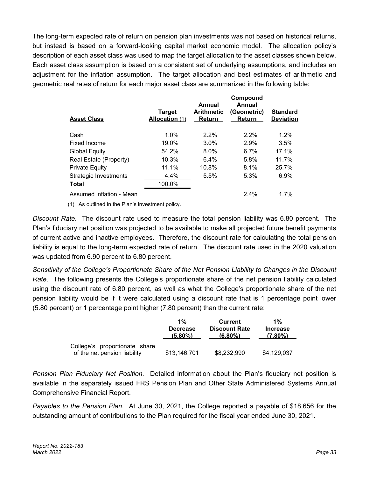The long-term expected rate of return on pension plan investments was not based on historical returns, but instead is based on a forward-looking capital market economic model. The allocation policy's description of each asset class was used to map the target allocation to the asset classes shown below. Each asset class assumption is based on a consistent set of underlying assumptions, and includes an adjustment for the inflation assumption. The target allocation and best estimates of arithmetic and geometric real rates of return for each major asset class are summarized in the following table:

| Asset Class              | <b>Target</b><br>Allocation (1) | Annual<br><b>Arithmetic</b><br>Return | Compound<br>Annual<br>(Geometric)<br>Return | <b>Standard</b><br><b>Deviation</b> |
|--------------------------|---------------------------------|---------------------------------------|---------------------------------------------|-------------------------------------|
| Cash                     | 1.0%                            | 2.2%                                  | 2.2%                                        | 1.2%                                |
| Fixed Income             | 19.0%                           | $3.0\%$                               | 2.9%                                        | 3.5%                                |
| <b>Global Equity</b>     | 54.2%                           | 8.0%                                  | 6.7%                                        | 17.1%                               |
| Real Estate (Property)   | 10.3%                           | 6.4%                                  | 5.8%                                        | 11.7%                               |
| <b>Private Equity</b>    | 11.1%                           | 10.8%                                 | 8.1%                                        | 25.7%                               |
| Strategic Investments    | 4.4%                            | 5.5%                                  | 5.3%                                        | 6.9%                                |
| Total                    | 100.0%                          |                                       |                                             |                                     |
| Assumed inflation - Mean |                                 |                                       | 2.4%                                        | 1.7%                                |
|                          |                                 |                                       |                                             |                                     |

(1) As outlined in the Plan's investment policy.

*Discount Rate*. The discount rate used to measure the total pension liability was 6.80 percent. The Plan's fiduciary net position was projected to be available to make all projected future benefit payments of current active and inactive employees. Therefore, the discount rate for calculating the total pension liability is equal to the long-term expected rate of return. The discount rate used in the 2020 valuation was updated from 6.90 percent to 6.80 percent.

*Sensitivity of the College's Proportionate Share of the Net Pension Liability to Changes in the Discount Rate*. The following presents the College's proportionate share of the net pension liability calculated using the discount rate of 6.80 percent, as well as what the College's proportionate share of the net pension liability would be if it were calculated using a discount rate that is 1 percentage point lower (5.80 percent) or 1 percentage point higher (7.80 percent) than the current rate:

|                                                               | 1%              | Current              | 1%              |
|---------------------------------------------------------------|-----------------|----------------------|-----------------|
|                                                               | <b>Decrease</b> | <b>Discount Rate</b> | <b>Increase</b> |
|                                                               | $(5.80\%)$      | $(6.80\%)$           | $(7.80\%)$      |
| College's proportionate share<br>of the net pension liability | \$13,146,701    | \$8,232,990          | \$4,129,037     |

*Pension Plan Fiduciary Net Position*. Detailed information about the Plan's fiduciary net position is available in the separately issued FRS Pension Plan and Other State Administered Systems Annual Comprehensive Financial Report.

*Payables to the Pension Plan.* At June 30, 2021, the College reported a payable of \$18,656 for the outstanding amount of contributions to the Plan required for the fiscal year ended June 30, 2021.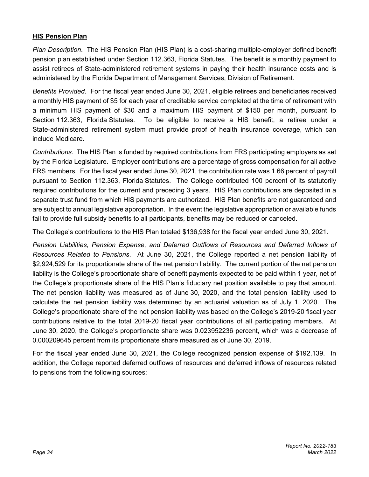### **HIS Pension Plan**

*Plan Description*. The HIS Pension Plan (HIS Plan) is a cost-sharing multiple-employer defined benefit pension plan established under Section 112.363, Florida Statutes. The benefit is a monthly payment to assist retirees of State-administered retirement systems in paying their health insurance costs and is administered by the Florida Department of Management Services, Division of Retirement.

*Benefits Provided*. For the fiscal year ended June 30, 2021, eligible retirees and beneficiaries received a monthly HIS payment of \$5 for each year of creditable service completed at the time of retirement with a minimum HIS payment of \$30 and a maximum HIS payment of \$150 per month, pursuant to Section 112.363, Florida Statutes. To be eligible to receive a HIS benefit, a retiree under a State-administered retirement system must provide proof of health insurance coverage, which can include Medicare.

*Contributions*. The HIS Plan is funded by required contributions from FRS participating employers as set by the Florida Legislature. Employer contributions are a percentage of gross compensation for all active FRS members. For the fiscal year ended June 30, 2021, the contribution rate was 1.66 percent of payroll pursuant to Section 112.363, Florida Statutes. The College contributed 100 percent of its statutorily required contributions for the current and preceding 3 years. HIS Plan contributions are deposited in a separate trust fund from which HIS payments are authorized. HIS Plan benefits are not guaranteed and are subject to annual legislative appropriation. In the event the legislative appropriation or available funds fail to provide full subsidy benefits to all participants, benefits may be reduced or canceled.

The College's contributions to the HIS Plan totaled \$136,938 for the fiscal year ended June 30, 2021.

*Pension Liabilities, Pension Expense, and Deferred Outflows of Resources and Deferred Inflows of Resources Related to Pensions*. At June 30, 2021, the College reported a net pension liability of \$2,924,529 for its proportionate share of the net pension liability. The current portion of the net pension liability is the College's proportionate share of benefit payments expected to be paid within 1 year, net of the College's proportionate share of the HIS Plan's fiduciary net position available to pay that amount. The net pension liability was measured as of June 30, 2020, and the total pension liability used to calculate the net pension liability was determined by an actuarial valuation as of July 1, 2020. The College's proportionate share of the net pension liability was based on the College's 2019-20 fiscal year contributions relative to the total 2019-20 fiscal year contributions of all participating members. At June 30, 2020, the College's proportionate share was 0.023952236 percent, which was a decrease of 0.000209645 percent from its proportionate share measured as of June 30, 2019.

For the fiscal year ended June 30, 2021, the College recognized pension expense of \$192,139. In addition, the College reported deferred outflows of resources and deferred inflows of resources related to pensions from the following sources: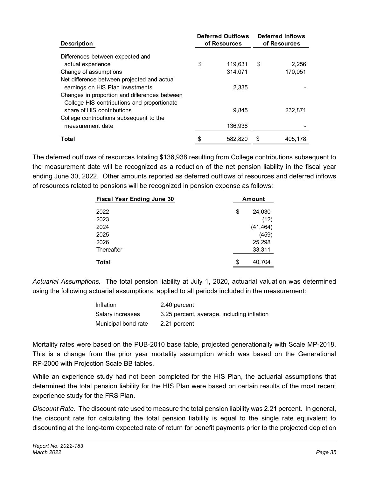| <b>Description</b>                                                                           | <b>Deferred Outflows</b><br>of Resources | <b>Deferred Inflows</b><br>of Resources |
|----------------------------------------------------------------------------------------------|------------------------------------------|-----------------------------------------|
| Differences between expected and                                                             |                                          |                                         |
| actual experience                                                                            | \$<br>119,631                            | \$<br>2,256                             |
| Change of assumptions                                                                        | 314,071                                  | 170,051                                 |
| Net difference between projected and actual                                                  |                                          |                                         |
| earnings on HIS Plan investments                                                             | 2.335                                    |                                         |
| Changes in proportion and differences between<br>College HIS contributions and proportionate |                                          |                                         |
| share of HIS contributions                                                                   | 9.845                                    | 232,871                                 |
| College contributions subsequent to the                                                      |                                          |                                         |
| measurement date                                                                             | 136,938                                  |                                         |
| Total                                                                                        | \$<br>582.820                            | \$<br>405.178                           |

The deferred outflows of resources totaling \$136,938 resulting from College contributions subsequent to the measurement date will be recognized as a reduction of the net pension liability in the fiscal year ending June 30, 2022. Other amounts reported as deferred outflows of resources and deferred inflows of resources related to pensions will be recognized in pension expense as follows:

| <b>Fiscal Year Ending June 30</b> | Amount |           |
|-----------------------------------|--------|-----------|
| 2022                              | \$     | 24,030    |
| 2023                              |        | (12)      |
| 2024                              |        | (41, 464) |
| 2025                              |        | (459)     |
| 2026                              |        | 25,298    |
| Thereafter                        |        | 33,311    |
| Total                             | \$     | 40,704    |

*Actuarial Assumptions.* The total pension liability at July 1, 2020, actuarial valuation was determined using the following actuarial assumptions, applied to all periods included in the measurement:

| Inflation           | 2.40 percent                               |
|---------------------|--------------------------------------------|
| Salary increases    | 3.25 percent, average, including inflation |
| Municipal bond rate | 2.21 percent                               |

Mortality rates were based on the PUB-2010 base table, projected generationally with Scale MP-2018. This is a change from the prior year mortality assumption which was based on the Generational RP-2000 with Projection Scale BB tables.

While an experience study had not been completed for the HIS Plan, the actuarial assumptions that determined the total pension liability for the HIS Plan were based on certain results of the most recent experience study for the FRS Plan.

*Discount Rate*. The discount rate used to measure the total pension liability was 2.21 percent. In general, the discount rate for calculating the total pension liability is equal to the single rate equivalent to discounting at the long-term expected rate of return for benefit payments prior to the projected depletion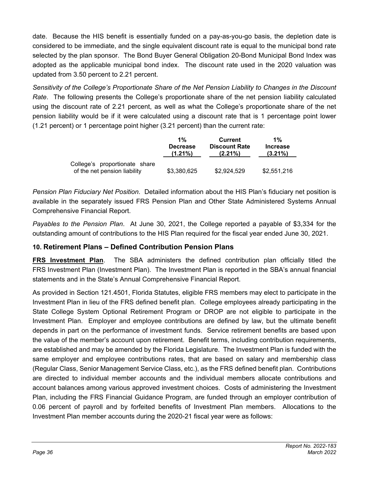date. Because the HIS benefit is essentially funded on a pay-as-you-go basis, the depletion date is considered to be immediate, and the single equivalent discount rate is equal to the municipal bond rate selected by the plan sponsor. The Bond Buyer General Obligation 20-Bond Municipal Bond Index was adopted as the applicable municipal bond index. The discount rate used in the 2020 valuation was updated from 3.50 percent to 2.21 percent.

*Sensitivity of the College's Proportionate Share of the Net Pension Liability to Changes in the Discount Rate*. The following presents the College's proportionate share of the net pension liability calculated using the discount rate of 2.21 percent, as well as what the College's proportionate share of the net pension liability would be if it were calculated using a discount rate that is 1 percentage point lower (1.21 percent) or 1 percentage point higher (3.21 percent) than the current rate:

|                                                               | 1%              | Current              | 1%              |
|---------------------------------------------------------------|-----------------|----------------------|-----------------|
|                                                               | <b>Decrease</b> | <b>Discount Rate</b> | <b>Increase</b> |
|                                                               | $(1.21\%)$      | $(2.21\%)$           | $(3.21\%)$      |
| College's proportionate share<br>of the net pension liability | \$3,380,625     | \$2,924,529          | \$2,551,216     |

*Pension Plan Fiduciary Net Position*. Detailed information about the HIS Plan's fiduciary net position is available in the separately issued FRS Pension Plan and Other State Administered Systems Annual Comprehensive Financial Report.

*Payables to the Pension Plan*. At June 30, 2021, the College reported a payable of \$3,334 for the outstanding amount of contributions to the HIS Plan required for the fiscal year ended June 30, 2021.

## **10. Retirement Plans – Defined Contribution Pension Plans**

**FRS Investment Plan**. The SBA administers the defined contribution plan officially titled the FRS Investment Plan (Investment Plan). The Investment Plan is reported in the SBA's annual financial statements and in the State's Annual Comprehensive Financial Report.

As provided in Section 121.4501, Florida Statutes, eligible FRS members may elect to participate in the Investment Plan in lieu of the FRS defined benefit plan. College employees already participating in the State College System Optional Retirement Program or DROP are not eligible to participate in the Investment Plan. Employer and employee contributions are defined by law, but the ultimate benefit depends in part on the performance of investment funds. Service retirement benefits are based upon the value of the member's account upon retirement. Benefit terms, including contribution requirements, are established and may be amended by the Florida Legislature. The Investment Plan is funded with the same employer and employee contributions rates, that are based on salary and membership class (Regular Class, Senior Management Service Class, etc.), as the FRS defined benefit plan. Contributions are directed to individual member accounts and the individual members allocate contributions and account balances among various approved investment choices. Costs of administering the Investment Plan, including the FRS Financial Guidance Program, are funded through an employer contribution of 0.06 percent of payroll and by forfeited benefits of Investment Plan members. Allocations to the Investment Plan member accounts during the 2020-21 fiscal year were as follows: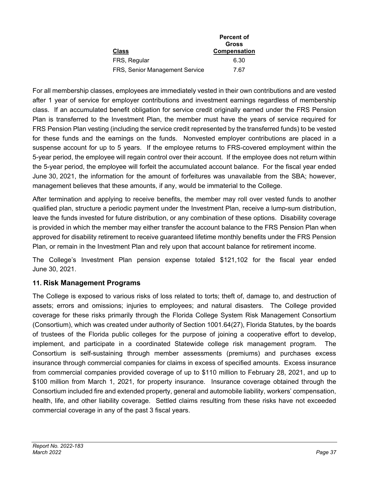|                                | Percent of   |  |  |  |  |  |
|--------------------------------|--------------|--|--|--|--|--|
|                                | Gross        |  |  |  |  |  |
| <b>Class</b>                   | Compensation |  |  |  |  |  |
| FRS, Regular                   | 6.30         |  |  |  |  |  |
| FRS, Senior Management Service | 7.67         |  |  |  |  |  |

For all membership classes, employees are immediately vested in their own contributions and are vested after 1 year of service for employer contributions and investment earnings regardless of membership class. If an accumulated benefit obligation for service credit originally earned under the FRS Pension Plan is transferred to the Investment Plan, the member must have the years of service required for FRS Pension Plan vesting (including the service credit represented by the transferred funds) to be vested for these funds and the earnings on the funds. Nonvested employer contributions are placed in a suspense account for up to 5 years. If the employee returns to FRS-covered employment within the 5-year period, the employee will regain control over their account. If the employee does not return within the 5-year period, the employee will forfeit the accumulated account balance. For the fiscal year ended June 30, 2021, the information for the amount of forfeitures was unavailable from the SBA; however, management believes that these amounts, if any, would be immaterial to the College.

After termination and applying to receive benefits, the member may roll over vested funds to another qualified plan, structure a periodic payment under the Investment Plan, receive a lump-sum distribution, leave the funds invested for future distribution, or any combination of these options. Disability coverage is provided in which the member may either transfer the account balance to the FRS Pension Plan when approved for disability retirement to receive guaranteed lifetime monthly benefits under the FRS Pension Plan, or remain in the Investment Plan and rely upon that account balance for retirement income.

The College's Investment Plan pension expense totaled \$121,102 for the fiscal year ended June 30, 2021.

## **11. Risk Management Programs**

The College is exposed to various risks of loss related to torts; theft of, damage to, and destruction of assets; errors and omissions; injuries to employees; and natural disasters. The College provided coverage for these risks primarily through the Florida College System Risk Management Consortium (Consortium), which was created under authority of Section 1001.64(27), Florida Statutes, by the boards of trustees of the Florida public colleges for the purpose of joining a cooperative effort to develop, implement, and participate in a coordinated Statewide college risk management program. The Consortium is self-sustaining through member assessments (premiums) and purchases excess insurance through commercial companies for claims in excess of specified amounts. Excess insurance from commercial companies provided coverage of up to \$110 million to February 28, 2021, and up to \$100 million from March 1, 2021, for property insurance. Insurance coverage obtained through the Consortium included fire and extended property, general and automobile liability, workers' compensation, health, life, and other liability coverage. Settled claims resulting from these risks have not exceeded commercial coverage in any of the past 3 fiscal years.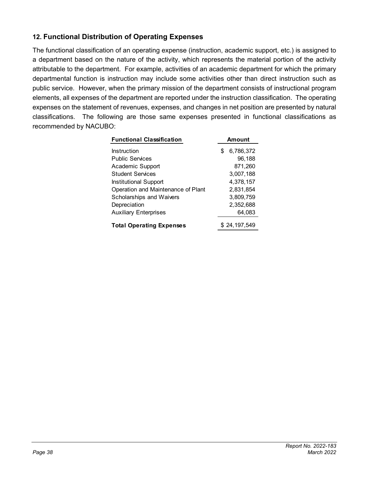## **12. Functional Distribution of Operating Expenses**

The functional classification of an operating expense (instruction, academic support, etc.) is assigned to a department based on the nature of the activity, which represents the material portion of the activity attributable to the department. For example, activities of an academic department for which the primary departmental function is instruction may include some activities other than direct instruction such as public service. However, when the primary mission of the department consists of instructional program elements, all expenses of the department are reported under the instruction classification. The operating expenses on the statement of revenues, expenses, and changes in net position are presented by natural classifications. The following are those same expenses presented in functional classifications as recommended by NACUBO:

| <b>Functional Classification</b>   | Amount |              |  |  |
|------------------------------------|--------|--------------|--|--|
| Instruction                        | \$     | 6,786,372    |  |  |
| <b>Public Services</b>             |        | 96,188       |  |  |
| Academic Support                   |        | 871,260      |  |  |
| <b>Student Services</b>            |        | 3,007,188    |  |  |
| Institutional Support              |        | 4,378,157    |  |  |
| Operation and Maintenance of Plant |        | 2,831,854    |  |  |
| Scholarships and Waivers           |        | 3,809,759    |  |  |
| Depreciation                       |        | 2,352,688    |  |  |
| <b>Auxiliary Enterprises</b>       |        | 64,083       |  |  |
| <b>Total Operating Expenses</b>    |        | \$24,197,549 |  |  |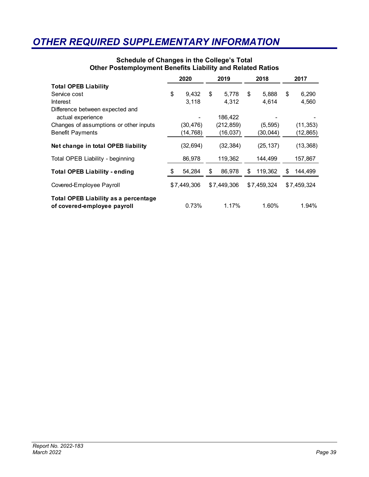## <span id="page-42-0"></span>*OTHER REQUIRED SUPPLEMENTARY INFORMATION*

|                                                                            | 2020 |             | 2019         | 2018          |    | 2017        |
|----------------------------------------------------------------------------|------|-------------|--------------|---------------|----|-------------|
| <b>Total OPEB Liability</b>                                                |      |             |              |               |    |             |
| Service cost                                                               | \$   | 9.432       | \$<br>5,778  | \$<br>5,888   | \$ | 6,290       |
| <b>Interest</b>                                                            |      | 3,118       | 4,312        | 4,614         |    | 4,560       |
| Difference between expected and                                            |      |             |              |               |    |             |
| actual experience                                                          |      |             | 186,422      |               |    |             |
| Changes of assumptions or other inputs                                     |      | (30,476)    | (212, 859)   | (5, 595)      |    | (11, 353)   |
| <b>Benefit Payments</b>                                                    |      | (14, 768)   | (16, 037)    | (30, 044)     |    | (12, 865)   |
| Net change in total OPEB liability                                         |      | (32, 694)   | (32, 384)    | (25, 137)     |    | (13, 368)   |
| Total OPEB Liability - beginning                                           |      | 86,978      | 119,362      | 144,499       |    | 157,867     |
| <b>Total OPEB Liability - ending</b>                                       | \$   | 54,284      | \$<br>86,978 | \$<br>119,362 | S  | 144,499     |
| Covered-Employee Payroll                                                   |      | \$7,449,306 | \$7,449,306  | \$7,459,324   |    | \$7,459,324 |
| <b>Total OPEB Liability as a percentage</b><br>of covered-employee payroll |      | 0.73%       | 1.17%        | 1.60%         |    | 1.94%       |

#### **Schedule of Changes in the College's Total Other Postemployment Benefits Liability and Related Ratios**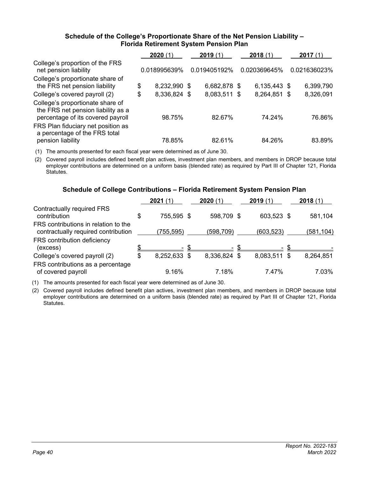#### **Schedule of the College's Proportionate Share of the Net Pension Liability – Florida Retirement System Pension Plan**

<span id="page-43-0"></span>

|                                                                                                             | 2020(1)            | 2019(1)      | 2018(1)      | 2017(1)      |
|-------------------------------------------------------------------------------------------------------------|--------------------|--------------|--------------|--------------|
| College's proportion of the FRS<br>net pension liability<br>College's proportionate share of                | 0.018995639%       | 0.019405192% | 0.020369645% | 0.021636023% |
| the FRS net pension liability                                                                               | \$<br>8,232,990 \$ | 6,682,878 \$ | 6,135,443 \$ | 6,399,790    |
| College's covered payroll (2)                                                                               | \$<br>8,336,824 \$ | 8,083,511 \$ | 8,264,851 \$ | 8,326,091    |
| College's proportionate share of<br>the FRS net pension liability as a<br>percentage of its covered payroll | 98.75%             | 82.67%       | 74.24%       | 76.86%       |
| FRS Plan fiduciary net position as<br>a percentage of the FRS total<br>pension liability                    | 78.85%             | 82.61%       | 84.26%       | 83.89%       |

(1) The amounts presented for each fiscal year were determined as of June 30.

(2) Covered payroll includes defined benefit plan actives, investment plan members, and members in DROP because total employer contributions are determined on a uniform basis (blended rate) as required by Part III of Chapter 121, Florida Statutes.

#### **Schedule of College Contributions – Florida Retirement System Pension Plan**

|                                                                             | 2021(1)            | 2020(1)                  | 2019(1)    |      | 2018(1)    |
|-----------------------------------------------------------------------------|--------------------|--------------------------|------------|------|------------|
| <b>Contractually required FRS</b><br>contribution                           | \$<br>755,595 \$   | 598,709 \$               | 603,523 \$ |      | 581,104    |
| FRS contributions in relation to the<br>contractually required contribution | (755, 595)         | (598, 709)               | (603, 523) |      | (581, 104) |
| FRS contribution deficiency<br>(excess)                                     |                    | $\overline{\phantom{0}}$ |            |      |            |
| College's covered payroll (2)                                               | \$<br>8,252,633 \$ | 8,336,824 \$             | 8,083,511  | - \$ | 8,264,851  |
| FRS contributions as a percentage<br>of covered payroll                     | 9.16%              | 7.18%                    | 7.47%      |      | 7.03%      |

(1) The amounts presented for each fiscal year were determined as of June 30.

(2) Covered payroll includes defined benefit plan actives, investment plan members, and members in DROP because total employer contributions are determined on a uniform basis (blended rate) as required by Part III of Chapter 121, Florida Statutes.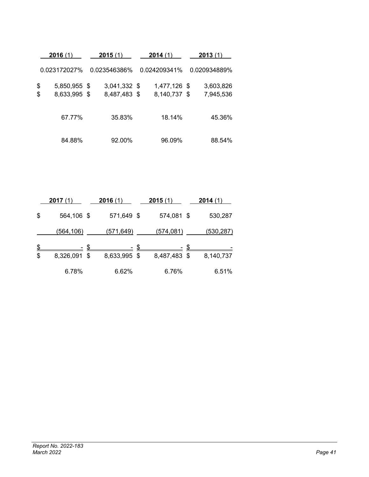| 2016(1) |              | 2015(1)      | 2014(1)      | 2013(1)      |
|---------|--------------|--------------|--------------|--------------|
|         | 0.023172027% | 0.023546386% | 0.024209341% | 0.020934889% |
| \$      | 5,850,955 \$ | 3,041,332 \$ | 1,477,126 \$ | 3,603,826    |
| \$      | 8,633,995 \$ | 8,487,483 \$ | 8,140,737 \$ | 7,945,536    |
|         | 67.77%       | 35.83%       | 18.14%       | 45.36%       |
|         | 84.88%       | 92.00%       | 96.09%       | 88.54%       |

| 2017(1)          | 2016(1)            | 2015(1)          | 2014(1)    |
|------------------|--------------------|------------------|------------|
| \$<br>564,106 \$ | 571,649 \$         | 574,081 \$       | 530,287    |
| <u>(564,106)</u> | <u>(571,649)</u>   | <u>(574,081)</u> | (530, 287) |
|                  |                    |                  |            |
| \$<br>8,326,091  | \$<br>8,633,995 \$ | 8,487,483 \$     | 8,140,737  |
| 6.78%            | 6.62%              | 6.76%            | 6.51%      |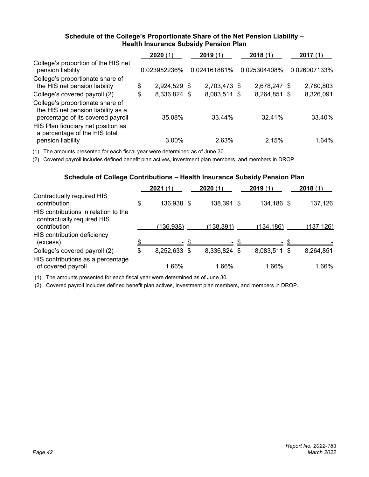#### **Schedule of the College's Proportionate Share of the Net Pension Liability – Health Insurance Subsidy Pension Plan**

<span id="page-45-0"></span>

|                                                                                                             | 2020(1)            | 2019(1)      | 2018(1)      |      | 2017 (1      |
|-------------------------------------------------------------------------------------------------------------|--------------------|--------------|--------------|------|--------------|
| College's proportion of the HIS net<br>pension liability<br>College's proportionate share of                | 0.023952236%       | 0.024161881% | 0.025304408% |      | 0.026007133% |
| the HIS net pension liability                                                                               | \$<br>2,924,529 \$ | 2,703,473 \$ | 2,678,247    | - \$ | 2,780,803    |
| College's covered payroll (2)                                                                               | \$<br>8,336,824 \$ | 8,083,511 \$ | 8,264,851    | - \$ | 8,326,091    |
| College's proportionate share of<br>the HIS net pension liability as a<br>percentage of its covered payroll | 35.08%             | 33.44%       | 32.41%       |      | 33.40%       |
| HIS Plan fiduciary net position as<br>a percentage of the HIS total<br>pension liability                    | $3.00\%$           | 2.63%        | 2.15%        |      | 1.64%        |

(1) The amounts presented for each fiscal year were determined as of June 30.

(2) Covered payroll includes defined benefit plan actives, investment plan members, and members in DROP.

#### **Schedule of College Contributions – Health Insurance Subsidy Pension Plan**

|                                                                                    |     | 2021(1)      | 2020(1)                  | 2019(1)      | 2018(1)   |
|------------------------------------------------------------------------------------|-----|--------------|--------------------------|--------------|-----------|
| Contractually required HIS<br>contribution                                         | \$  | 136,938 \$   | 138,391 \$               | 134,186 \$   | 137,126   |
| HIS contributions in relation to the<br>contractually required HIS<br>contribution |     | (136,938)    | (138, 391)               | (134,186)    | (137,126) |
| HIS contribution deficiency                                                        |     |              |                          |              |           |
| (excess)                                                                           | \$. |              | $\overline{\phantom{0}}$ |              |           |
| College's covered payroll (2)                                                      | \$  | 8,252,633 \$ | 8,336,824 \$             | 8,083,511 \$ | 8,264,851 |
| HIS contributions as a percentage<br>of covered payroll                            |     | 1.66%        | 1.66%                    | 1.66%        | 1.66%     |

(1) The amounts presented for each fiscal year were determined as of June 30.

(2) Covered payroll includes defined benefit plan actives, investment plan members, and members in DROP.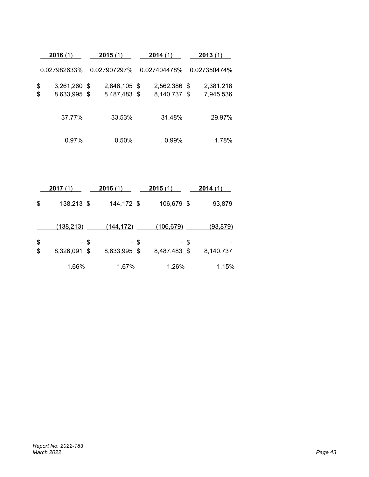|    | 2016(1)      | 2015(1)              | 2014(1)      | 2013 (1 |              |  |  |
|----|--------------|----------------------|--------------|---------|--------------|--|--|
|    | 0.027982633% | 0.027907297%         | 0.027404478% |         | 0.027350474% |  |  |
| \$ | 3,261,260    | 2,846,105 \$<br>- \$ | 2,562,386 \$ |         | 2,381,218    |  |  |
| \$ | 8,633,995 \$ | 8,487,483 \$         | 8,140,737 \$ |         | 7,945,536    |  |  |
|    | 37.77%       | 33.53%               | 31.48%       |         | 29.97%       |  |  |
|    | 0.97%        | $0.50\%$             | $0.99\%$     |         | 1.78%        |  |  |

| 2017(1)            |     | 2016(1)      |     | 2015(1)      | 2014(1)   |
|--------------------|-----|--------------|-----|--------------|-----------|
| \$<br>138,213 \$   |     | 144,172 \$   |     | 106,679 \$   | 93,879    |
| (138, 213)         |     | (144, 172)   |     | (106, 679)   | (93,879)  |
|                    | \$. |              | -\$ |              |           |
| \$<br>8,326,091 \$ |     | 8,633,995 \$ |     | 8,487,483 \$ | 8,140,737 |
| 1.66%              |     | 1.67%        |     | 1.26%        | 1.15%     |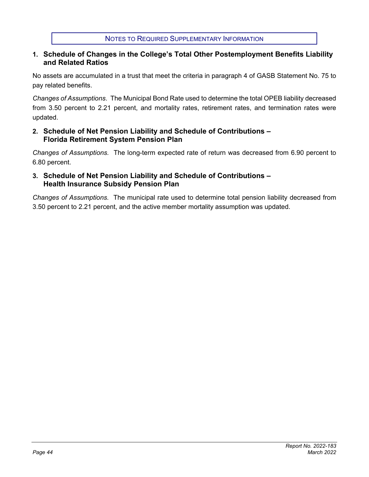## <span id="page-47-0"></span>**1. Schedule of Changes in the College's Total Other Postemployment Benefits Liability and Related Ratios**

No assets are accumulated in a trust that meet the criteria in paragraph 4 of GASB Statement No. 75 to pay related benefits.

*Changes of Assumptions*. The Municipal Bond Rate used to determine the total OPEB liability decreased from 3.50 percent to 2.21 percent, and mortality rates, retirement rates, and termination rates were updated.

#### **2. Schedule of Net Pension Liability and Schedule of Contributions – Florida Retirement System Pension Plan**

*Changes of Assumptions.* The long-term expected rate of return was decreased from 6.90 percent to 6.80 percent.

## **3. Schedule of Net Pension Liability and Schedule of Contributions – Health Insurance Subsidy Pension Plan**

*Changes of Assumptions.* The municipal rate used to determine total pension liability decreased from 3.50 percent to 2.21 percent, and the active member mortality assumption was updated.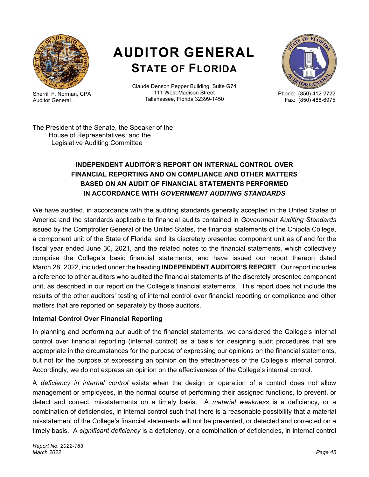<span id="page-48-0"></span>

Sherrill F. Norman, CPA Auditor General

# **AUDITOR GENERAL STATE OF FLORIDA**

Claude Denson Pepper Building, Suite G74 111 West Madison Street Tallahassee, Florida 32399-1450



Phone: (850) 412-2722 Fax: (850) 488-6975

The President of the Senate, the Speaker of the House of Representatives, and the Legislative Auditing Committee

## **INDEPENDENT AUDITOR'S REPORT ON INTERNAL CONTROL OVER FINANCIAL REPORTING AND ON COMPLIANCE AND OTHER MATTERS BASED ON AN AUDIT OF FINANCIAL STATEMENTS PERFORMED IN ACCORDANCE WITH** *GOVERNMENT AUDITING STANDARDS*

We have audited, in accordance with the auditing standards generally accepted in the United States of America and the standards applicable to financial audits contained in *Government Auditing Standards* issued by the Comptroller General of the United States, the financial statements of the Chipola College, a component unit of the State of Florida, and its discretely presented component unit as of and for the fiscal year ended June 30, 2021, and the related notes to the financial statements, which collectively comprise the College's basic financial statements, and have issued our report thereon dated March 28, 2022, included under the heading **INDEPENDENT AUDITOR'S REPORT**. Our report includes a reference to other auditors who audited the financial statements of the discretely presented component unit, as described in our report on the College's financial statements. This report does not include the results of the other auditors' testing of internal control over financial reporting or compliance and other matters that are reported on separately by those auditors.

## **Internal Control Over Financial Reporting**

In planning and performing our audit of the financial statements, we considered the College's internal control over financial reporting (internal control) as a basis for designing audit procedures that are appropriate in the circumstances for the purpose of expressing our opinions on the financial statements, but not for the purpose of expressing an opinion on the effectiveness of the College's internal control. Accordingly, we do not express an opinion on the effectiveness of the College's internal control.

A *deficiency in internal control* exists when the design or operation of a control does not allow management or employees, in the normal course of performing their assigned functions, to prevent, or detect and correct, misstatements on a timely basis. A *material weakness* is a deficiency, or a combination of deficiencies, in internal control such that there is a reasonable possibility that a material misstatement of the College's financial statements will not be prevented, or detected and corrected on a timely basis. A *significant deficiency* is a deficiency, or a combination of deficiencies, in internal control